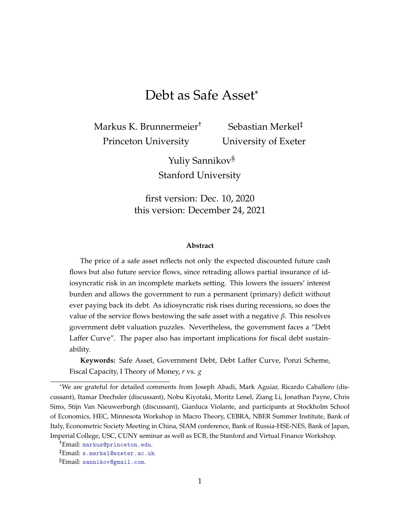# Debt as Safe Asset\*

<span id="page-0-0"></span>Markus K. Brunnermeier† Princeton University

Sebastian Merkel‡ University of Exeter

Yuliy Sannikov§ Stanford University

first version: Dec. 10, 2020 this version: December 24, 2021

#### **Abstract**

The price of a safe asset reflects not only the expected discounted future cash flows but also future service flows, since retrading allows partial insurance of idiosyncratic risk in an incomplete markets setting. This lowers the issuers' interest burden and allows the government to run a permanent (primary) deficit without ever paying back its debt. As idiosyncratic risk rises during recessions, so does the value of the service flows bestowing the safe asset with a negative *β*. This resolves government debt valuation puzzles. Nevertheless, the government faces a "Debt Laffer Curve". The paper also has important implications for fiscal debt sustainability.

**Keywords:** Safe Asset, Government Debt, Debt Laffer Curve, Ponzi Scheme, Fiscal Capacity, I Theory of Money, *r* vs. *g*

<sup>\*</sup>We are grateful for detailed comments from Joseph Abadi, Mark Aguiar, Ricardo Caballero (discussant), Itamar Drechsler (discussant), Nobu Kiyotaki, Moritz Lenel, Ziang Li, Jonathan Payne, Chris Sims, Stijn Van Nieuwerburgh (discussant), Gianluca Violante, and participants at Stockholm School of Economics, HEC, Minnesota Workshop in Macro Theory, CEBRA, NBER Summer Institute, Bank of Italy, Econometric Society Meeting in China, SIAM conference, Bank of Russia-HSE-NES, Bank of Japan, Imperial College, USC, CUNY seminar as well as ECB, the Stanford and Virtual Finance Workshop.

<sup>†</sup>Email: [markus@princeton.edu](mailto:markus@princeton.edu).

<sup>‡</sup>Email: [s.merkel@exeter.ac.uk](mailto:smerkel@princeton.edu).

<sup>§</sup>Email: [sannikov@gmail.com](mailto:sannikov@gmail.com).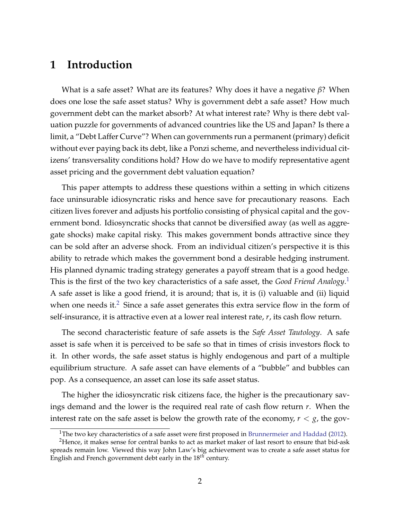## **1 Introduction**

What is a safe asset? What are its features? Why does it have a negative *β*? When does one lose the safe asset status? Why is government debt a safe asset? How much government debt can the market absorb? At what interest rate? Why is there debt valuation puzzle for governments of advanced countries like the US and Japan? Is there a limit, a "Debt Laffer Curve"? When can governments run a permanent (primary) deficit without ever paying back its debt, like a Ponzi scheme, and nevertheless individual citizens' transversality conditions hold? How do we have to modify representative agent asset pricing and the government debt valuation equation?

This paper attempts to address these questions within a setting in which citizens face uninsurable idiosyncratic risks and hence save for precautionary reasons. Each citizen lives forever and adjusts his portfolio consisting of physical capital and the government bond. Idiosyncratic shocks that cannot be diversified away (as well as aggregate shocks) make capital risky. This makes government bonds attractive since they can be sold after an adverse shock. From an individual citizen's perspective it is this ability to retrade which makes the government bond a desirable hedging instrument. His planned dynamic trading strategy generates a payoff stream that is a good hedge. This is the first of the two key characteristics of a safe asset, the *Good Friend Analogy*. [1](#page-0-0) A safe asset is like a good friend, it is around; that is, it is (i) valuable and (ii) liquid when one needs it.<sup>[2](#page-0-0)</sup> Since a safe asset generates this extra service flow in the form of self-insurance, it is attractive even at a lower real interest rate, *r*, its cash flow return.

The second characteristic feature of safe assets is the *Safe Asset Tautology*. A safe asset is safe when it is perceived to be safe so that in times of crisis investors flock to it. In other words, the safe asset status is highly endogenous and part of a multiple equilibrium structure. A safe asset can have elements of a "bubble" and bubbles can pop. As a consequence, an asset can lose its safe asset status.

The higher the idiosyncratic risk citizens face, the higher is the precautionary savings demand and the lower is the required real rate of cash flow return *r*. When the interest rate on the safe asset is below the growth rate of the economy,  $r < g$ , the gov-

<sup>&</sup>lt;sup>1</sup>The two key characteristics of a safe asset were first proposed in [Brunnermeier and Haddad](#page-44-0) [\(2012\)](#page-44-0).

<sup>&</sup>lt;sup>2</sup>Hence, it makes sense for central banks to act as market maker of last resort to ensure that bid-ask spreads remain low. Viewed this way John Law's big achievement was to create a safe asset status for English and French government debt early in the 18*th* century.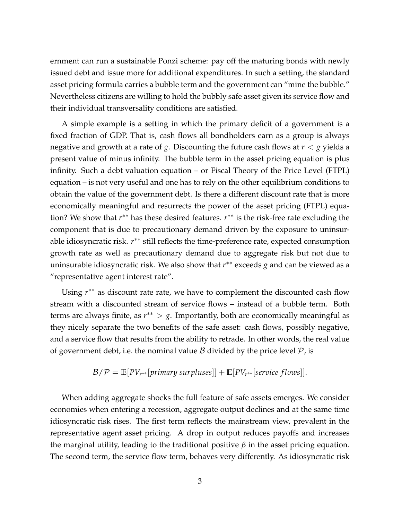ernment can run a sustainable Ponzi scheme: pay off the maturing bonds with newly issued debt and issue more for additional expenditures. In such a setting, the standard asset pricing formula carries a bubble term and the government can "mine the bubble." Nevertheless citizens are willing to hold the bubbly safe asset given its service flow and their individual transversality conditions are satisfied.

A simple example is a setting in which the primary deficit of a government is a fixed fraction of GDP. That is, cash flows all bondholders earn as a group is always negative and growth at a rate of *g*. Discounting the future cash flows at *r* < *g* yields a present value of minus infinity. The bubble term in the asset pricing equation is plus infinity. Such a debt valuation equation – or Fiscal Theory of the Price Level (FTPL) equation – is not very useful and one has to rely on the other equilibrium conditions to obtain the value of the government debt. Is there a different discount rate that is more economically meaningful and resurrects the power of the asset pricing (FTPL) equation? We show that *r*<sup>\*\*</sup> has these desired features. *r*<sup>\*\*</sup> is the risk-free rate excluding the component that is due to precautionary demand driven by the exposure to uninsurable idiosyncratic risk. *r*<sup>\*\*</sup> still reflects the time-preference rate, expected consumption growth rate as well as precautionary demand due to aggregate risk but not due to uninsurable idiosyncratic risk. We also show that *r* ∗∗ exceeds *g* and can be viewed as a "representative agent interest rate".

Using  $r^{**}$  as discount rate rate, we have to complement the discounted cash flow stream with a discounted stream of service flows – instead of a bubble term. Both terms are always finite, as  $r^{**} > g$ . Importantly, both are economically meaningful as they nicely separate the two benefits of the safe asset: cash flows, possibly negative, and a service flow that results from the ability to retrade. In other words, the real value of government debt, i.e. the nominal value  $\beta$  divided by the price level  $\mathcal{P}$ , is

$$
\mathcal{B}/\mathcal{P} = \mathbb{E}[PV_{r^{**}}[primary \, surpluses]] + \mathbb{E}[PV_{r^{**}}[service \, flows]].
$$

When adding aggregate shocks the full feature of safe assets emerges. We consider economies when entering a recession, aggregate output declines and at the same time idiosyncratic risk rises. The first term reflects the mainstream view, prevalent in the representative agent asset pricing. A drop in output reduces payoffs and increases the marginal utility, leading to the traditional positive *β* in the asset pricing equation. The second term, the service flow term, behaves very differently. As idiosyncratic risk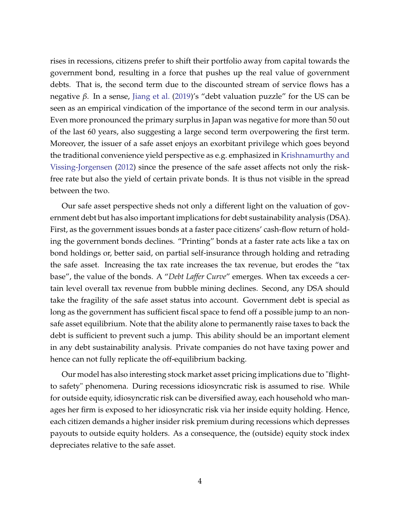rises in recessions, citizens prefer to shift their portfolio away from capital towards the government bond, resulting in a force that pushes up the real value of government debts. That is, the second term due to the discounted stream of service flows has a negative *β*. In a sense, [Jiang et al.](#page-45-0) [\(2019\)](#page-45-0)'s "debt valuation puzzle" for the US can be seen as an empirical vindication of the importance of the second term in our analysis. Even more pronounced the primary surplus in Japan was negative for more than 50 out of the last 60 years, also suggesting a large second term overpowering the first term. Moreover, the issuer of a safe asset enjoys an exorbitant privilege which goes beyond the traditional convenience yield perspective as e.g. emphasized in [Krishnamurthy and](#page-46-0) [Vissing-Jorgensen](#page-46-0) [\(2012\)](#page-46-0) since the presence of the safe asset affects not only the riskfree rate but also the yield of certain private bonds. It is thus not visible in the spread between the two.

Our safe asset perspective sheds not only a different light on the valuation of government debt but has also important implications for debt sustainability analysis (DSA). First, as the government issues bonds at a faster pace citizens' cash-flow return of holding the government bonds declines. "Printing" bonds at a faster rate acts like a tax on bond holdings or, better said, on partial self-insurance through holding and retrading the safe asset. Increasing the tax rate increases the tax revenue, but erodes the "tax base", the value of the bonds. A "*Debt Laffer Curve*" emerges. When tax exceeds a certain level overall tax revenue from bubble mining declines. Second, any DSA should take the fragility of the safe asset status into account. Government debt is special as long as the government has sufficient fiscal space to fend off a possible jump to an nonsafe asset equilibrium. Note that the ability alone to permanently raise taxes to back the debt is sufficient to prevent such a jump. This ability should be an important element in any debt sustainability analysis. Private companies do not have taxing power and hence can not fully replicate the off-equilibrium backing.

Our model has also interesting stock market asset pricing implications due to "flightto safety" phenomena. During recessions idiosyncratic risk is assumed to rise. While for outside equity, idiosyncratic risk can be diversified away, each household who manages her firm is exposed to her idiosyncratic risk via her inside equity holding. Hence, each citizen demands a higher insider risk premium during recessions which depresses payouts to outside equity holders. As a consequence, the (outside) equity stock index depreciates relative to the safe asset.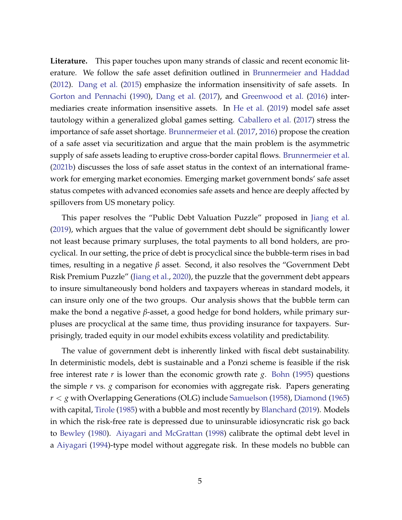**Literature.** This paper touches upon many strands of classic and recent economic literature. We follow the safe asset definition outlined in [Brunnermeier and Haddad](#page-44-0) [\(2012\)](#page-44-0). [Dang et al.](#page-45-1) [\(2015\)](#page-45-1) emphasize the information insensitivity of safe assets. In [Gorton and Pennachi](#page-45-2) [\(1990\)](#page-45-2), [Dang et al.](#page-45-3) [\(2017\)](#page-45-3), and [Greenwood et al.](#page-45-4) [\(2016\)](#page-45-4) intermediaries create information insensitive assets. In [He et al.](#page-45-5) [\(2019\)](#page-45-5) model safe asset tautology within a generalized global games setting. [Caballero et al.](#page-44-1) [\(2017\)](#page-44-1) stress the importance of safe asset shortage. [Brunnermeier et al.](#page-44-2) [\(2017,](#page-44-2) [2016\)](#page-44-3) propose the creation of a safe asset via securitization and argue that the main problem is the asymmetric supply of safe assets leading to eruptive cross-border capital flows. [Brunnermeier et al.](#page-44-4) [\(2021b\)](#page-44-4) discusses the loss of safe asset status in the context of an international framework for emerging market economies. Emerging market government bonds' safe asset status competes with advanced economies safe assets and hence are deeply affected by spillovers from US monetary policy.

This paper resolves the "Public Debt Valuation Puzzle" proposed in [Jiang et al.](#page-45-0) [\(2019\)](#page-45-0), which argues that the value of government debt should be significantly lower not least because primary surpluses, the total payments to all bond holders, are procyclical. In our setting, the price of debt is procyclical since the bubble-term rises in bad times, resulting in a negative *β* asset. Second, it also resolves the "Government Debt Risk Premium Puzzle" [\(Jiang et al.,](#page-45-6) [2020\)](#page-45-6), the puzzle that the government debt appears to insure simultaneously bond holders and taxpayers whereas in standard models, it can insure only one of the two groups. Our analysis shows that the bubble term can make the bond a negative *β*-asset, a good hedge for bond holders, while primary surpluses are procyclical at the same time, thus providing insurance for taxpayers. Surprisingly, traded equity in our model exhibits excess volatility and predictability.

The value of government debt is inherently linked with fiscal debt sustainability. In deterministic models, debt is sustainable and a Ponzi scheme is feasible if the risk free interest rate *r* is lower than the economic growth rate *g*. [Bohn](#page-44-5) [\(1995\)](#page-44-5) questions the simple *r* vs. *g* comparison for economies with aggregate risk. Papers generating *r* < *g* with Overlapping Generations (OLG) include [Samuelson](#page-46-1) [\(1958\)](#page-46-1), [Diamond](#page-45-7) [\(1965\)](#page-45-7) with capital, [Tirole](#page-46-2) [\(1985\)](#page-46-2) with a bubble and most recently by [Blanchard](#page-43-0) [\(2019\)](#page-43-0). Models in which the risk-free rate is depressed due to uninsurable idiosyncratic risk go back to [Bewley](#page-43-1) [\(1980\)](#page-43-1). [Aiyagari and McGrattan](#page-43-2) [\(1998\)](#page-43-2) calibrate the optimal debt level in a [Aiyagari](#page-43-3) [\(1994\)](#page-43-3)-type model without aggregate risk. In these models no bubble can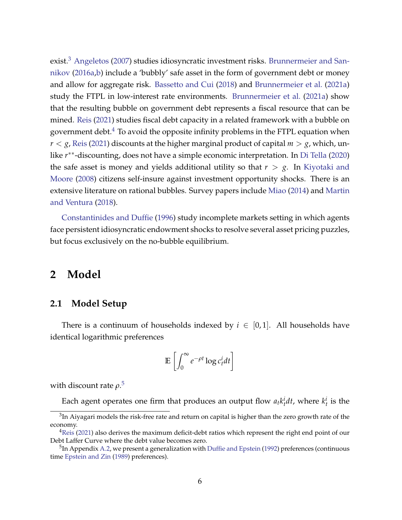exist.<sup>[3](#page-0-0)</sup> [Angeletos](#page-43-4) [\(2007\)](#page-43-4) studies idiosyncratic investment risks. [Brunnermeier and San](#page-44-6)[nikov](#page-44-6) [\(2016a,](#page-44-6)[b\)](#page-44-7) include a 'bubbly' safe asset in the form of government debt or money and allow for aggregate risk. [Bassetto and Cui](#page-43-5) [\(2018\)](#page-43-5) and [Brunnermeier et al.](#page-44-8) [\(2021a\)](#page-44-8) study the FTPL in low-interest rate environments. [Brunnermeier et al.](#page-44-8) [\(2021a\)](#page-44-8) show that the resulting bubble on government debt represents a fiscal resource that can be mined. [Reis](#page-46-3) [\(2021\)](#page-46-3) studies fiscal debt capacity in a related framework with a bubble on government debt. $4$  To avoid the opposite infinity problems in the FTPL equation when  $r < g$ , [Reis](#page-46-3) [\(2021\)](#page-46-3) discounts at the higher marginal product of capital  $m > g$ , which, unlike *r* ∗∗-discounting, does not have a simple economic interpretation. In [Di Tella](#page-46-4) [\(2020\)](#page-46-4) the safe asset is money and yields additional utility so that  $r > g$ . In [Kiyotaki and](#page-46-5) [Moore](#page-46-5) [\(2008\)](#page-46-5) citizens self-insure against investment opportunity shocks. There is an extensive literature on rational bubbles. Survey papers include [Miao](#page-46-6) [\(2014\)](#page-46-6) and [Martin](#page-46-7) [and Ventura](#page-46-7) [\(2018\)](#page-46-7).

[Constantinides and Duffie](#page-44-9) [\(1996\)](#page-44-9) study incomplete markets setting in which agents face persistent idiosyncratic endowment shocks to resolve several asset pricing puzzles, but focus exclusively on the no-bubble equilibrium.

## <span id="page-5-0"></span>**2 Model**

#### **2.1 Model Setup**

There is a continuum of households indexed by  $i \in [0,1]$ . All households have identical logarithmic preferences

$$
\mathbb{E}\left[\int_0^\infty e^{-\rho t} \log c_t^i dt\right]
$$

with discount rate *ρ*. [5](#page-0-0)

Each agent operates one firm that produces an output flow  $a_t k_t^i dt$ , where  $k_t^i$  is the

 $^3$ In Aiyagari models the risk-free rate and return on capital is higher than the zero growth rate of the economy.

<sup>&</sup>lt;sup>4</sup>[Reis](#page-46-3) [\(2021\)](#page-46-3) also derives the maximum deficit-debt ratios which represent the right end point of our Debt Laffer Curve where the debt value becomes zero.

 $^5$ In Appendix [A.2,](#page--1-0) we present a generalization with [Duffie and Epstein](#page-45-8) [\(1992\)](#page-45-8) preferences (continuous time [Epstein and Zin](#page-45-9) [\(1989\)](#page-45-9) preferences).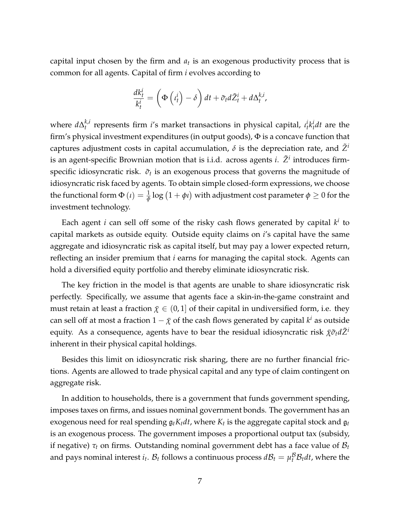capital input chosen by the firm and  $a_t$  is an exogenous productivity process that is common for all agents. Capital of firm *i* evolves according to

$$
\frac{dk_t^i}{k_t^i} = \left(\Phi\left(\iota_t^i\right) - \delta\right)dt + \tilde{\sigma}_t d\tilde{Z}_t^i + d\Delta_t^{k,i},
$$

where  $d\Delta_t^{k,i}$  $t_t^{k,i}$  represents firm *i*'s market transactions in physical capital,  $t_t^i t_t^j dt$  are the firm's physical investment expenditures (in output goods),  $\Phi$  is a concave function that captures adjustment costs in capital accumulation,  $\delta$  is the depreciation rate, and  $\tilde{Z}^i$ is an agent-specific Brownian motion that is i.i.d. across agents *i*.  $\tilde{Z}^i$  introduces firmspecific idiosyncratic risk.  $\tilde{\sigma}_t$  is an exogenous process that governs the magnitude of idiosyncratic risk faced by agents. To obtain simple closed-form expressions, we choose the functional form  $\Phi\left(\iota\right)=\frac{1}{\phi}\log\left(1+\phi\iota\right)$  with adjustment cost parameter  $\phi\geq0$  for the investment technology.

Each agent *i* can sell off some of the risky cash flows generated by capital *k i* to capital markets as outside equity. Outside equity claims on *i*'s capital have the same aggregate and idiosyncratic risk as capital itself, but may pay a lower expected return, reflecting an insider premium that *i* earns for managing the capital stock. Agents can hold a diversified equity portfolio and thereby eliminate idiosyncratic risk.

The key friction in the model is that agents are unable to share idiosyncratic risk perfectly. Specifically, we assume that agents face a skin-in-the-game constraint and must retain at least a fraction  $\bar{\chi} \in (0,1]$  of their capital in undiversified form, i.e. they can sell off at most a fraction  $1-\bar\chi$  of the cash flows generated by capital  $k^i$  as outside equity. As a consequence, agents have to bear the residual idiosyncratic risk *χ*¯*σ*˜*tdZ*˜*<sup>i</sup>* inherent in their physical capital holdings.

Besides this limit on idiosyncratic risk sharing, there are no further financial frictions. Agents are allowed to trade physical capital and any type of claim contingent on aggregate risk.

In addition to households, there is a government that funds government spending, imposes taxes on firms, and issues nominal government bonds. The government has an exogenous need for real spending  $\mathfrak{g}_t K_t dt$ , where  $K_t$  is the aggregate capital stock and  $\mathfrak{g}_t$ is an exogenous process. The government imposes a proportional output tax (subsidy, if negative)  $\tau_t$  on firms. Outstanding nominal government debt has a face value of  $\mathcal{B}_t$ and pays nominal interest  $i_t$ .  $\mathcal{B}_t$  follows a continuous process  $d\mathcal{B}_t = \mu_t^{\mathcal{B}}\mathcal{B}_t dt$ , where the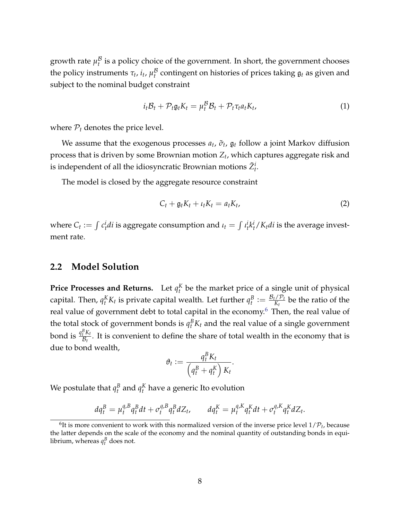growth rate  $\mu_t^\mathcal{B}$  $t$ <sup> $t$ </sup> is a policy choice of the government. In short, the government chooses the policy instruments  $\tau_t$ ,  $i_t$ ,  $\mu_t^\mathcal{B}$  $t$ <sup>*b*</sup> contingent on histories of prices taking  $\mathfrak{g}_t$  as given and subject to the nominal budget constraint

<span id="page-7-0"></span>
$$
i_t B_t + \mathcal{P}_t \mathfrak{g}_t K_t = \mu_t^{\mathcal{B}} B_t + \mathcal{P}_t \tau_t a_t K_t, \qquad (1)
$$

where  $P_t$  denotes the price level.

We assume that the exogenous processes  $a_t$ ,  $\tilde{\sigma}_t$ ,  $\mathfrak{g}_t$  follow a joint Markov diffusion process that is driven by some Brownian motion *Z<sup>t</sup>* , which captures aggregate risk and is independent of all the idiosyncratic Brownian motions  $\tilde{Z}_{t}^{i}$ .

The model is closed by the aggregate resource constraint

<span id="page-7-1"></span>
$$
C_t + \mathfrak{g}_t K_t + \iota_t K_t = a_t K_t, \qquad (2)
$$

where  $C_t := \int c_t^i dt$  is aggregate consumption and  $\iota_t = \int t_t^i k_t^i / K_t dt$  is the average investment rate.

#### **2.2 Model Solution**

**Price Processes and Returns.** Let  $q_t^K$  be the market price of a single unit of physical capital. Then,  $q_t^K K_t$  is private capital wealth. Let further  $q_t^B := \frac{\mathcal{B}_t/\mathcal{P}_t}{K_t}$  $\frac{H}{K_t}$  be the ratio of the real value of government debt to total capital in the economy.<sup>[6](#page-0-0)</sup> Then, the real value of the total stock of government bonds is  $q_t^B K_t$  and the real value of a single government bond is  $\frac{q_t^B K_t}{\mathcal{B}_t}$  $\frac{d^{i}N_{t}}{\mathcal{B}_{t}}$ . It is convenient to define the share of total wealth in the economy that is due to bond wealth,

$$
\vartheta_t := \frac{q_t^B K_t}{\left(q_t^B + q_t^K\right) K_t}.
$$

We postulate that  $q_t^B$  and  $q_t^K$  have a generic Ito evolution

$$
dq_t^B = \mu_t^{q,B} q_t^B dt + \sigma_t^{q,B} q_t^B dZ_t, \qquad dq_t^K = \mu_t^{q,K} q_t^K dt + \sigma_t^{q,K} q_t^K dZ_t.
$$

 ${}^{6}$ It is more convenient to work with this normalized version of the inverse price level  $1/\mathcal{P}_t$ , because the latter depends on the scale of the economy and the nominal quantity of outstanding bonds in equilibrium, whereas  $q_t^B$  does not.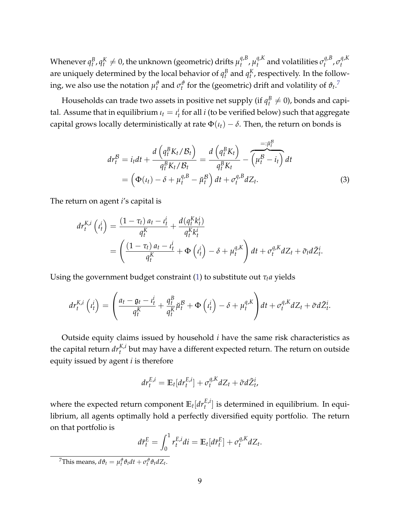Whenever  $q_t^B$  ,  $q_t^K \neq 0$ , the unknown (geometric) drifts  $\mu_t^{q, B}$ *t* , *µ q*,*K*  $\sigma_t^{q,R}$  and volatilities  $\sigma_t^{q,B}$ *t* , *σ q*,*K t* are uniquely determined by the local behavior of  $q_t^B$  and  $q_t^K$ , respectively. In the following, we also use the notation  $\mu_t^{\vartheta}$  and  $\sigma_t^{\vartheta}$  for the (geometric) drift and volatility of  $\vartheta_t$ .<sup>[7](#page-0-0)</sup>

Households can trade two assets in positive net supply (if  $q_t^B\neq 0$ ), bonds and capital. Assume that in equilibrium  $\iota_t = \iota_t^i$  for all  $i$  (to be verified below) such that aggregate capital grows locally deterministically at rate  $\Phi(t_t) - \delta$ . Then, the return on bonds is

$$
dr_t^{\mathcal{B}} = i_t dt + \frac{d\left(q_t^{\mathcal{B}} K_t / \mathcal{B}_t\right)}{q_t^{\mathcal{B}} K_t / \mathcal{B}_t} = \frac{d\left(q_t^{\mathcal{B}} K_t\right)}{q_t^{\mathcal{B}} K_t} - \overbrace{\left(\mu_t^{\mathcal{B}} - i_t\right)}^{\equiv : \mu_t^{\mathcal{B}}} dt
$$

$$
= \left(\Phi(t_t) - \delta + \mu_t^{q, \mathcal{B}} - \mu_t^{\mathcal{B}}\right) dt + \sigma_t^{q, \mathcal{B}} dZ_t.
$$
(3)

The return on agent *i*'s capital is

$$
dr_t^{K,i} \left( t_t^i \right) = \frac{\left( 1 - \tau_t \right) a_t - t_t^i}{q_t^K} + \frac{d \left( q_t^K k_t^i \right)}{q_t^K k_t^i}
$$
  
= 
$$
\left( \frac{\left( 1 - \tau_t \right) a_t - t_t^i}{q_t^K} + \Phi \left( t_t^i \right) - \delta + \mu_t^{q,K} \right) dt + \sigma_t^{q,K} dZ_t + \tilde{\sigma}_t d\tilde{Z}_t^i.
$$

Using the government budget constraint [\(1\)](#page-7-0) to substitute out  $\tau_t a$  yields

$$
dr_t^{K,i} \left( t_t^i \right) = \left( \frac{a_t - \mathfrak{g}_t - t_t^i}{q_t^K} + \frac{q_t^B}{q_t^K} \breve{\mu}_t^B + \Phi \left( t_t^i \right) - \delta + \mu_t^{q,K} \right) dt + \sigma_t^{q,K} dZ_t + \tilde{\sigma} d\tilde{Z}_t^i.
$$

Outside equity claims issued by household *i* have the same risk characteristics as the capital return  $dr^{K,i}_t$  but may have a different expected return. The return on outside equity issued by agent *i* is therefore

$$
dr_t^{E,i} = \mathbb{E}_t[dr_t^{E,i}] + \sigma_t^{q,K} dZ_t + \tilde{\sigma} d\tilde{Z}_t^i,
$$

where the expected return component  $\mathbb{E}_t[d r_t^{E,i}]$  is determined in equilibrium. In equilibrium, all agents optimally hold a perfectly diversified equity portfolio. The return on that portfolio is

$$
d\bar{r}_t^E = \int_0^1 r_t^{E,i} di = \mathbb{E}_t[d\bar{r}_t^E] + \sigma_t^{q,K} dZ_t.
$$

 $^7$ This means,  $d\vartheta_t = \mu_t^{\vartheta} \vartheta_t dt + \sigma_t^{\vartheta} \vartheta_t dZ_t$ .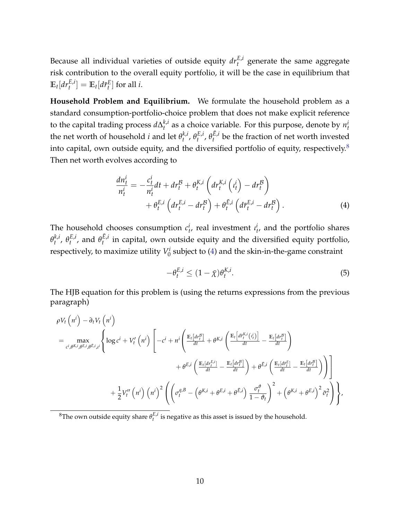Because all individual varieties of outside equity  $dr_t^{E,i}$  generate the same aggregate risk contribution to the overall equity portfolio, it will be the case in equilibrium that  $\mathbb{E}_t[dr_t^{E,i}] = \mathbb{E}_t[d\bar{r}_t^E]$  for all *i*.

**Household Problem and Equilibrium.** We formulate the household problem as a standard consumption-portfolio-choice problem that does not make explicit reference to the capital trading process *d*∆ *k*,*i*  $t_t^{k,i}$  as a choice variable. For this purpose, denote by  $n_t^{i}$ the net worth of household *i* and let  $\theta_t^{k,i}$  $_{t}^{k,i}, \theta_{t}^{E,i}$  $E, i$ ,  $\theta_t^{\bar{E}, i}$  $t^{L,l}$  be the fraction of net worth invested into capital, own outside equity, and the diversified portfolio of equity, respectively. $8$ Then net worth evolves according to

$$
\frac{dn_t^i}{n_t^i} = -\frac{c_t^i}{n_t^i} dt + dr_t^{\mathcal{B}} + \theta_t^{K,i} \left( dr_t^{K,i} \left( t_t^i \right) - dr_t^{\mathcal{B}} \right) \n+ \theta_t^{E,i} \left( dr_t^{E,i} - dr_t^{\mathcal{B}} \right) + \theta_t^{\bar{E},i} \left( d\bar{r}_t^{E,i} - dr_t^{\mathcal{B}} \right).
$$
\n(4)

The household chooses consumption  $c_t^i$ , real investment  $i_t^i$ , and the portfolio shares  $\theta_t^{k,i}$  $_{t}^{k,i}, \theta_{t}^{E,i}$  $t^{E,i}$ , and  $\theta^{E,i}_t$  $t_t^{\mu}$  in capital, own outside equity and the diversified equity portfolio, respectively, to maximize utility *V i*  $\frac{7}{0}$  subject to [\(4\)](#page-9-0) and the skin-in-the-game constraint

<span id="page-9-1"></span><span id="page-9-0"></span>
$$
-\theta_t^{E,i} \le (1 - \bar{\chi})\theta_t^{K,i}.\tag{5}
$$

The HJB equation for this problem is (using the returns expressions from the previous paragraph)

$$
\rho V_t \left( n^{i} \right) - \partial_t V_t \left( n^{i} \right)
$$
\n
$$
= \max_{c^{i}, \theta^{K,i}, \theta^{E,i}, i^{i}} \left\{ \log c^{i} + V'_t \left( n^{i} \right) \left[ -c^{i} + n^{i} \left( \frac{\mathbb{E}_{t} \left[ dr^{\beta}_{i} \right]}{dt} + \theta^{K,i} \left( \frac{\mathbb{E}_{t} \left[ dr^{\beta}_{i} \right]}{dt} - \frac{\mathbb{E}_{t} \left[ dr^{\beta}_{i} \right]}{dt} \right) \right. \right.\left. + \theta^{E,i} \left( \frac{\mathbb{E}_{t} \left[ dr^{\beta}_{i} \right]}{dt} - \frac{\mathbb{E}_{t} \left[ dr^{\beta}_{i} \right]}{dt} \right) + \theta^{\tilde{E},i} \left( \frac{\mathbb{E}_{t} \left[ dr^{\beta}_{i} \right]}{dt} - \frac{\mathbb{E}_{t} \left[ dr^{\beta}_{i} \right]}{dt} \right) \right) \right] \right.\left. + \frac{1}{2} V''_t \left( n^{i} \right) \left( n^{i} \right)^{2} \left( \left( \sigma_t^{q, \beta} - \left( \theta^{K,i} + \theta^{E,i} + \theta^{\tilde{E},i} \right) \frac{\sigma^{\phi}_{t}}{1 - \theta_{t}} \right)^{2} + \left( \theta^{K,i} + \theta^{E,i} \right)^{2} \tilde{\sigma}^{2}_{t} \right) \right\},
$$

 ${}^8$ The own outside equity share  $\theta_t^{E,i}$  is negative as this asset is issued by the household.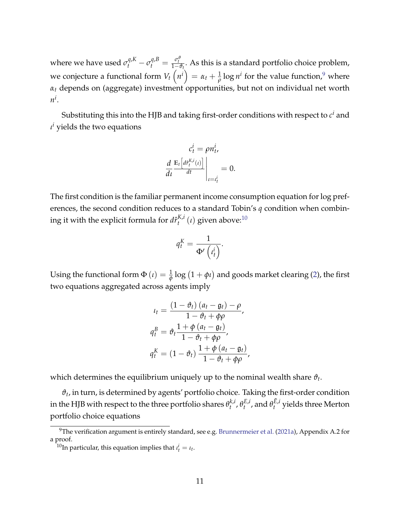where we have used  $\sigma_t^{q,K} - \sigma_t^{q,B} = \frac{\sigma_t^{\theta}}{1-\theta_t}$ . As this is a standard portfolio choice problem, we conjecture a functional form  $V_t\left(n^i\right)=\alpha_t+\frac{1}{\rho}\log n^i$  for the value function,<sup>[9](#page-0-0)</sup> where *α<sup>t</sup>* depends on (aggregate) investment opportunities, but not on individual net worth *n i* .

Substituting this into the HJB and taking first-order conditions with respect to  $c^i$  and *ι <sup>i</sup>* yields the two equations

$$
c_t^i = \rho n_t^i,
$$
  

$$
\frac{d}{dt} \frac{\mathbb{E}_t \left[ d_r^{K,i}(t) \right]}{dt} \Big|_{t=t_t^i} = 0.
$$

The first condition is the familiar permanent income consumption equation for log preferences, the second condition reduces to a standard Tobin's *q* condition when combining it with the explicit formula for  $d\hat{r}_{t}^{K,i}$  $t^{K,i}(t)$  given above:<sup>[10](#page-0-0)</sup>

$$
q_t^K = \frac{1}{\Phi'\left(\iota_t^i\right)}.
$$

Using the functional form  $\Phi\left(\iota\right)=\frac{1}{\phi}\log\left(1+\phi\iota\right)$  and goods market clearing [\(2\)](#page-7-1), the first two equations aggregated across agents imply

$$
u_t = \frac{(1 - \vartheta_t) (a_t - \mathfrak{g}_t) - \rho}{1 - \vartheta_t + \varphi \rho},
$$
  

$$
q_t^B = \vartheta_t \frac{1 + \varphi (a_t - \mathfrak{g}_t)}{1 - \vartheta_t + \varphi \rho},
$$
  

$$
q_t^K = (1 - \vartheta_t) \frac{1 + \varphi (a_t - \mathfrak{g}_t)}{1 - \vartheta_t + \varphi \rho},
$$

which determines the equilibrium uniquely up to the nominal wealth share  $\vartheta_t.$ 

 $\vartheta_t$ , in turn, is determined by agents' portfolio choice. Taking the first-order condition in the HJB with respect to the three portfolio shares  $\theta_t^{k,i}$  $_{t}^{k,i}, \theta_{t}^{E,i}$  $t^{E,i}_t$ , and  $\theta^{E,i}_t$  $t^{L, L}_{t}$  yields three Merton portfolio choice equations

 $9$ The verification argument is entirely standard, see e.g. [Brunnermeier et al.](#page-44-8) [\(2021a\)](#page-44-8), Appendix A.2 for a proof.

<sup>&</sup>lt;sup>10</sup>In particular, this equation implies that  $\iota_t^i = \iota_t$ .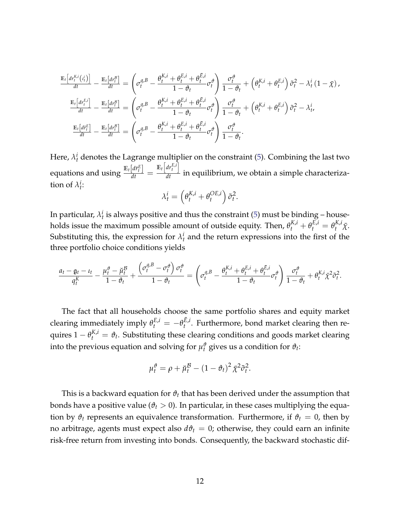$$
\frac{\mathbb{E}_{t}\left[dr_{t}^{K,i}(t_{t}^{i})\right]}{dt} - \frac{\mathbb{E}_{t}\left[dr_{t}^{B}\right]}{dt} = \left(\sigma_{t}^{q,B} - \frac{\theta_{t}^{K,i} + \theta_{t}^{E,i} + \theta_{t}^{E,i}}{1 - \theta_{t}}\sigma_{t}^{\phi}\right)\frac{\sigma_{t}^{\phi}}{1 - \theta_{t}} + \left(\theta_{t}^{K,i} + \theta_{t}^{E,i}\right)\tilde{\sigma}_{t}^{2} - \lambda_{t}^{i}\left(1 - \bar{\chi}\right),
$$
\n
$$
\frac{\mathbb{E}_{t}\left[dr_{t}^{E,i}\right]}{dt} - \frac{\mathbb{E}_{t}\left[dr_{t}^{B}\right]}{dt} = \left(\sigma_{t}^{q,B} - \frac{\theta_{t}^{K,i} + \theta_{t}^{E,i} + \theta_{t}^{E,i}}{1 - \theta_{t}}\sigma_{t}^{\phi}\right)\frac{\sigma_{t}^{\phi}}{1 - \theta_{t}} + \left(\theta_{t}^{K,i} + \theta_{t}^{E,i}\right)\tilde{\sigma}_{t}^{2} - \lambda_{t}^{i},
$$
\n
$$
\frac{\mathbb{E}_{t}\left[dr_{t}^{E}\right]}{dt} - \frac{\mathbb{E}_{t}\left[dr_{t}^{B}\right]}{dt} = \left(\sigma_{t}^{q,B} - \frac{\theta_{t}^{K,i} + \theta_{t}^{E,i} + \theta_{t}^{E,i}}{1 - \theta_{t}}\sigma_{t}^{\phi}\right)\frac{\sigma_{t}^{\phi}}{1 - \theta_{t}}.
$$

Here,  $\lambda_t^i$  denotes the Lagrange multiplier on the constraint [\(5\)](#page-9-1). Combining the last two equations and using  $\frac{\mathbb{E}_t\left[d\bar{r}_t^E\right]}{dt} = \frac{\mathbb{E}_t\left[d\bar{r}_t^{E,i}\right]}{dt}$  $\frac{d}{dt}$  in equilibrium, we obtain a simple characterization of  $\lambda_t^i$ :

$$
\lambda_t^i = \left(\theta_t^{K,i} + \theta_t^{OE,i}\right)\tilde{\sigma}_t^2.
$$

In particular,  $\lambda_t^i$  is always positive and thus the constraint [\(5\)](#page-9-1) must be binding – households issue the maximum possible amount of outside equity. Then,  $\theta_t^{K,i} + \theta_t^{E,i} = \theta_t^{K,i} \bar{\chi}$ . Substituting this, the expression for  $\lambda_t^i$  and the return expressions into the first of the three portfolio choice conditions yields

$$
\frac{a_t - \mathfrak{g}_t - \iota_t}{q_t^K} - \frac{\mu_t^{\vartheta} - \breve{\mu}_t^{\mathcal{B}}}{1 - \vartheta_t} + \frac{\left(\sigma_t^{\mathfrak{q}, \mathcal{B}} - \sigma_t^{\vartheta}\right)\sigma_t^{\vartheta}}{1 - \vartheta_t} = \left(\sigma_t^{\mathfrak{q}, \mathcal{B}} - \frac{\theta_t^{K,i} + \theta_t^{E,i} + \theta_t^{\bar{E},i}}{1 - \vartheta_t}\sigma_t^{\vartheta}\right) \frac{\sigma_t^{\vartheta}}{1 - \vartheta_t} + \theta_t^{K,i}\bar{\chi}^2\tilde{\sigma}_t^2.
$$

The fact that all households choose the same portfolio shares and equity market clearing immediately imply  $\theta_t^{E,i} = -\theta_t^{\bar{E},i}$ *t* . Furthermore, bond market clearing then requires  $1 - \theta_t^{K,i} = \vartheta_t$ . Substituting these clearing conditions and goods market clearing into the previous equation and solving for  $\mu_t^{\vartheta}$  gives us a condition for  $\vartheta_t$ :

$$
\mu_t^{\vartheta} = \rho + \breve{\mu}_t^{\mathcal{B}} - (1 - \vartheta_t)^2 \bar{\chi}^2 \tilde{\sigma}_t^2.
$$

This is a backward equation for *ϑ<sup>t</sup>* that has been derived under the assumption that bonds have a positive value ( $\vartheta_t > 0$ ). In particular, in these cases multiplying the equation by  $\vartheta_t$  represents an equivalence transformation. Furthermore, if  $\vartheta_t = 0$ , then by no arbitrage, agents must expect also  $d\theta_t = 0$ ; otherwise, they could earn an infinite risk-free return from investing into bonds. Consequently, the backward stochastic dif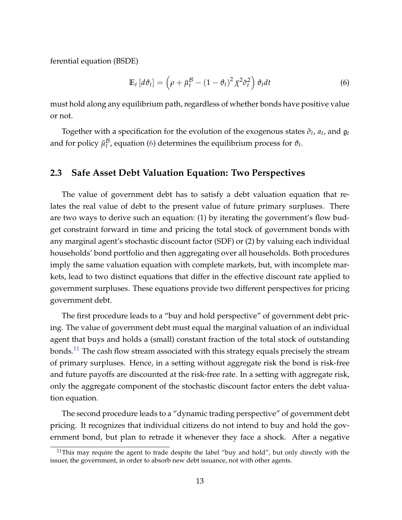ferential equation (BSDE)

<span id="page-12-0"></span>
$$
\mathbb{E}_t\left[d\vartheta_t\right] = \left(\rho + \breve{\mu}_t^{\mathcal{B}} - (1 - \vartheta_t)^2 \bar{\chi}^2 \tilde{\sigma}_t^2\right) \vartheta_t dt \tag{6}
$$

must hold along any equilibrium path, regardless of whether bonds have positive value or not.

<span id="page-12-1"></span>Together with a specification for the evolution of the exogenous states  $\tilde{\sigma}_t$ ,  $a_t$ , and  $\mathfrak{g}_t$ and for policy  $\breve{\mu}^{\mathcal{B}}_t$  $t^5$ , equation [\(6\)](#page-12-0) determines the equilibrium process for  $\vartheta_t$ .

#### **2.3 Safe Asset Debt Valuation Equation: Two Perspectives**

The value of government debt has to satisfy a debt valuation equation that relates the real value of debt to the present value of future primary surpluses. There are two ways to derive such an equation: (1) by iterating the government's flow budget constraint forward in time and pricing the total stock of government bonds with any marginal agent's stochastic discount factor (SDF) or (2) by valuing each individual households' bond portfolio and then aggregating over all households. Both procedures imply the same valuation equation with complete markets, but, with incomplete markets, lead to two distinct equations that differ in the effective discount rate applied to government surpluses. These equations provide two different perspectives for pricing government debt.

The first procedure leads to a "buy and hold perspective" of government debt pricing. The value of government debt must equal the marginal valuation of an individual agent that buys and holds a (small) constant fraction of the total stock of outstanding bonds.<sup>[11](#page-0-0)</sup> The cash flow stream associated with this strategy equals precisely the stream of primary surpluses. Hence, in a setting without aggregate risk the bond is risk-free and future payoffs are discounted at the risk-free rate. In a setting with aggregate risk, only the aggregate component of the stochastic discount factor enters the debt valuation equation.

The second procedure leads to a "dynamic trading perspective" of government debt pricing. It recognizes that individual citizens do not intend to buy and hold the government bond, but plan to retrade it whenever they face a shock. After a negative

 $11$ This may require the agent to trade despite the label "buy and hold", but only directly with the issuer, the government, in order to absorb new debt issuance, not with other agents.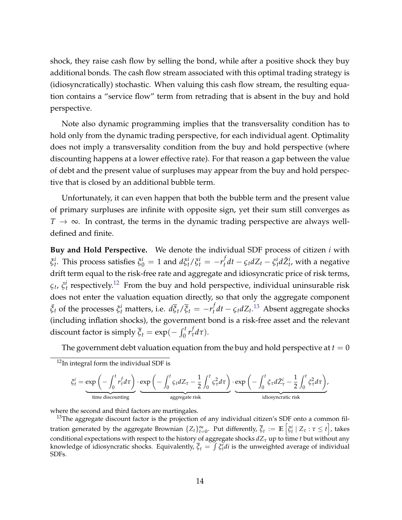shock, they raise cash flow by selling the bond, while after a positive shock they buy additional bonds. The cash flow stream associated with this optimal trading strategy is (idiosyncratically) stochastic. When valuing this cash flow stream, the resulting equation contains a "service flow" term from retrading that is absent in the buy and hold perspective.

Note also dynamic programming implies that the transversality condition has to hold only from the dynamic trading perspective, for each individual agent. Optimality does not imply a transversality condition from the buy and hold perspective (where discounting happens at a lower effective rate). For that reason a gap between the value of debt and the present value of surpluses may appear from the buy and hold perspective that is closed by an additional bubble term.

Unfortunately, it can even happen that both the bubble term and the present value of primary surpluses are infinite with opposite sign, yet their sum still converges as *T* → ∞. In contrast, the terms in the dynamic trading perspective are always welldefined and finite.

**Buy and Hold Perspective.** We denote the individual SDF process of citizen *i* with *ξ*<sup>*i*</sup></sup>. This process satisfies  $\zeta_0^i = 1$  and  $d\xi_t^i / \zeta_t^i = -r_t^f$  $\int_t^t dt - \zeta_t dZ_t - \tilde{\zeta}_t^i d\tilde{Z}_t^i$ , with a negative drift term equal to the risk-free rate and aggregate and idiosyncratic price of risk terms,  $\zeta_t$ ,  $\tilde{\zeta}_t^i$  respectively.<sup>[12](#page-0-0)</sup> From the buy and hold perspective, individual uninsurable risk does not enter the valuation equation directly, so that only the aggregate component  $\bar{\xi}_t$  of the processes  $\xi_t^i$  matters, i.e.  $d\bar{\xi}_t/\bar{\xi}_t = -r_t^f$  $\int_t^t$ *dt* −  $\varsigma_t$ *dZ*<sub>*t*</sub>.<sup>[13](#page-0-0)</sup> Absent aggregate shocks (including inflation shocks), the government bond is a risk-free asset and the relevant discount factor is simply  $\overline{\xi}_t = \exp(-\int_0^t r_\tau^f d\tau).$ 

The government debt valuation equation from the buy and hold perspective at  $t = 0$ 

$$
\xi_t^i = \underbrace{\exp\left(-\int_0^t r_\tau^f d\tau\right)}_{\text{time discounting}} \cdot \underbrace{\exp\left(-\int_0^t \varsigma_t dZ_\tau - \frac{1}{2} \int_0^t \varsigma_\tau^2 d\tau\right)}_{\text{aggregate risk}} \cdot \underbrace{\exp\left(-\int_0^t \varsigma_\tau d\tilde{Z}_\tau^i - \frac{1}{2} \int_0^t \tilde{\varsigma}_\tau^2 d\tau\right)}_{\text{idiosyncratic risk}},
$$

where the second and third factors are martingales.

 $13$ The aggregate discount factor is the projection of any individual citizen's SDF onto a common filtration generated by the aggregate Brownian  $\{Z_t\}_{t=0}^\infty$ . Put differently,  $\overline{\xi}_t := \mathbb{E}\left[\xi_t^i\ |\ Z_\tau : \tau \leq t\right]$ , takes conditional expectations with respect to the history of aggregate shocks *dZ<sup>τ</sup>* up to time *t* but without any knowledge of idiosyncratic shocks. Equivalently,  $\overline{\xi}_t = \int \xi_t^i dt$  is the unweighted average of individual SDFs.

<sup>&</sup>lt;sup>12</sup>In integral form the individual SDF is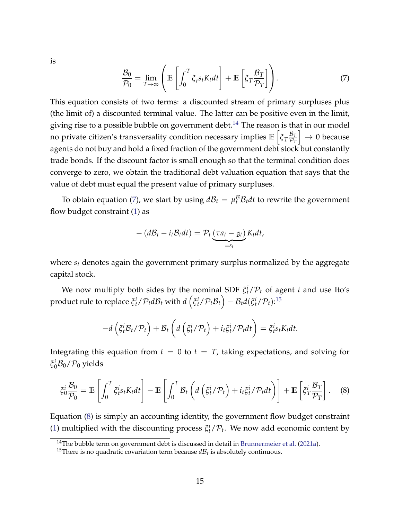<span id="page-14-0"></span>is

$$
\frac{\mathcal{B}_0}{\mathcal{P}_0} = \lim_{T \to \infty} \left( \mathbb{E} \left[ \int_0^T \overline{\xi}_t s_t K_t dt \right] + \mathbb{E} \left[ \overline{\xi}_T \frac{\mathcal{B}_T}{\mathcal{P}_T} \right] \right). \tag{7}
$$

This equation consists of two terms: a discounted stream of primary surpluses plus (the limit of) a discounted terminal value. The latter can be positive even in the limit, giving rise to a possible bubble on government debt.<sup>[14](#page-0-0)</sup> The reason is that in our model no private citizen's transversality condition necessary implies **E** h *ξT* B*T*  $\overline{\mathcal{P}_T}$  $\big] \rightarrow 0$  because agents do not buy and hold a fixed fraction of the government debt stock but constantly trade bonds. If the discount factor is small enough so that the terminal condition does converge to zero, we obtain the traditional debt valuation equation that says that the value of debt must equal the present value of primary surpluses.

To obtain equation [\(7\)](#page-14-0), we start by using  $d\mathcal{B}_t = \mu_t^{\mathcal{B}} \mathcal{B}_t dt$  to rewrite the government flow budget constraint [\(1\)](#page-7-0) as

$$
-(d\mathcal{B}_t-i_t\mathcal{B}_t dt)=\mathcal{P}_t\underbrace{(\tau a_t-g_t)}_{=s_t}K_t dt,
$$

where *s<sup>t</sup>* denotes again the government primary surplus normalized by the aggregate capital stock.

We now multiply both sides by the nominal SDF  $\xi_t^i/\mathcal{P}_t$  of agent *i* and use Ito's  $\text{product rule to replace } \xi_t^i/\mathcal{P}_t d\mathcal{B}_t \text{ with } d\left(\xi_t^i/\mathcal{P}_t\mathcal{B}_t\right) - \mathcal{B}_t d(\xi_t^i/\mathcal{P}_t).^{15}$  $\text{product rule to replace } \xi_t^i/\mathcal{P}_t d\mathcal{B}_t \text{ with } d\left(\xi_t^i/\mathcal{P}_t\mathcal{B}_t\right) - \mathcal{B}_t d(\xi_t^i/\mathcal{P}_t).^{15}$  $\text{product rule to replace } \xi_t^i/\mathcal{P}_t d\mathcal{B}_t \text{ with } d\left(\xi_t^i/\mathcal{P}_t\mathcal{B}_t\right) - \mathcal{B}_t d(\xi_t^i/\mathcal{P}_t).^{15}$ 

<span id="page-14-1"></span>
$$
-d\left(\xi_t^i\mathcal{B}_t/\mathcal{P}_t\right)+\mathcal{B}_t\left(d\left(\xi_t^i/\mathcal{P}_t\right)+i_t\xi_t^i/\mathcal{P}_tdt\right)=\xi_t^is_tK_tdt.
$$

Integrating this equation from  $t = 0$  to  $t = T$ , taking expectations, and solving for  $\xi_0^i$ B<sub>0</sub>/P<sub>0</sub> yields

$$
\xi_0^i \frac{\mathcal{B}_0}{\mathcal{P}_0} = \mathbb{E}\left[\int_0^T \xi_t^i s_t K_t dt\right] - \mathbb{E}\left[\int_0^T \mathcal{B}_t \left(d\left(\xi_t^i/\mathcal{P}_t\right) + i_t \xi_t^i/\mathcal{P}_t dt\right)\right] + \mathbb{E}\left[\xi_T^i \frac{\mathcal{B}_T}{\mathcal{P}_T}\right].
$$
 (8)

Equation [\(8\)](#page-14-1) is simply an accounting identity, the government flow budget constraint [\(1\)](#page-7-0) multiplied with the discounting process  $\xi_t^i/\mathcal{P}_t$ . We now add economic content by

<sup>&</sup>lt;sup>14</sup>The bubble term on government debt is discussed in detail in [Brunnermeier et al.](#page-44-8) [\(2021a\)](#page-44-8).

<sup>&</sup>lt;sup>15</sup>There is no quadratic covariation term because  $d\mathcal{B}_t$  is absolutely continuous.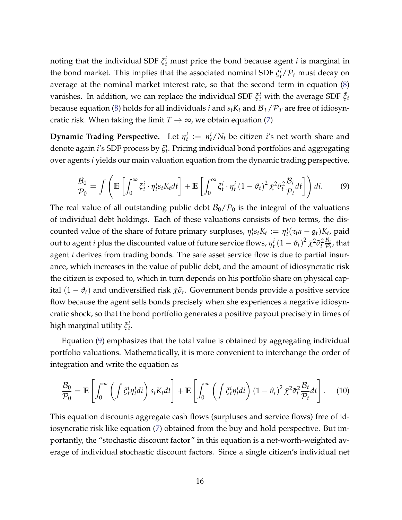noting that the individual SDF  $\xi_t^i$  must price the bond because agent *i* is marginal in the bond market. This implies that the associated nominal SDF  $\xi_t^i/\mathcal{P}_t$  must decay on average at the nominal market interest rate, so that the second term in equation [\(8\)](#page-14-1) vanishes. In addition, we can replace the individual SDF  $\xi_t^i$  with the average SDF  $\bar{\xi}_t$ because equation [\(8\)](#page-14-1) holds for all individuals *i* and  $s_t K_t$  and  $\mathcal{B}_T/\mathcal{P}_T$  are free of idiosyncratic risk. When taking the limit  $T \to \infty$ , we obtain equation [\(7\)](#page-14-0)

<span id="page-15-0"></span>**Dynamic Trading Perspective.** Let  $\eta_t^i := n_t^i/N_t$  be citizen *i*'s net worth share and denote again *i*'s SDF process by *ξ i t* . Pricing individual bond portfolios and aggregating over agents *i* yields our main valuation equation from the dynamic trading perspective,

$$
\frac{\mathcal{B}_0}{\mathcal{P}_0} = \int \left( \mathbb{E} \left[ \int_0^\infty \xi_t^i \cdot \eta_t^i s_t K_t dt \right] + \mathbb{E} \left[ \int_0^\infty \xi_t^i \cdot \eta_t^i (1 - \vartheta_t)^2 \bar{\chi}^2 \tilde{\sigma}_t^2 \frac{\mathcal{B}_t}{\mathcal{P}_t} dt \right] \right) dt. \tag{9}
$$

The real value of all outstanding public debt  $\mathcal{B}_0/\mathcal{P}_0$  is the integral of the valuations of individual debt holdings. Each of these valuations consists of two terms, the discounted value of the share of future primary surpluses,  $\eta_t^i s_t K_t := \eta_t^i (\tau_t a - \mathfrak{g}_t) K_t$ , paid out to agent *i* plus the discounted value of future service flows,  $\eta_t^i\left(1-\vartheta_t\right)^2\bar\chi^2\tilde\sigma_t^2\frac{\mathcal{B}_t}{\mathcal{P}_t}$  $\frac{\mathcal{D}_t}{\mathcal{P}_t}$ , that agent *i* derives from trading bonds. The safe asset service flow is due to partial insurance, which increases in the value of public debt, and the amount of idiosyncratic risk the citizen is exposed to, which in turn depends on his portfolio share on physical capital  $(1 - \vartheta_t)$  and undiversified risk  $\bar{\chi} \tilde{\sigma}_t$ . Government bonds provide a positive service flow because the agent sells bonds precisely when she experiences a negative idiosyncratic shock, so that the bond portfolio generates a positive payout precisely in times of high marginal utility *ξ i t* .

Equation [\(9\)](#page-15-0) emphasizes that the total value is obtained by aggregating individual portfolio valuations. Mathematically, it is more convenient to interchange the order of integration and write the equation as

<span id="page-15-1"></span>
$$
\frac{\mathcal{B}_0}{\mathcal{P}_0} = \mathbb{E}\left[\int_0^\infty \left(\int \xi_t^i \eta_t^i dt\right) s_t K_t dt\right] + \mathbb{E}\left[\int_0^\infty \left(\int \xi_t^i \eta_t^i dt\right) (1 - \vartheta_t)^2 \bar{\chi}^2 \tilde{\sigma}_t^2 \frac{\mathcal{B}_t}{\mathcal{P}_t} dt\right].
$$
 (10)

This equation discounts aggregate cash flows (surpluses and service flows) free of idiosyncratic risk like equation [\(7\)](#page-14-0) obtained from the buy and hold perspective. But importantly, the "stochastic discount factor" in this equation is a net-worth-weighted average of individual stochastic discount factors. Since a single citizen's individual net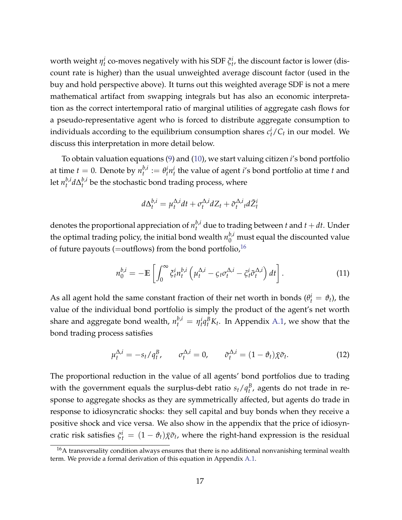worth weight  $\eta_t^i$  co-moves negatively with his SDF  $\xi_t^i$ , the discount factor is lower (discount rate is higher) than the usual unweighted average discount factor (used in the buy and hold perspective above). It turns out this weighted average SDF is not a mere mathematical artifact from swapping integrals but has also an economic interpretation as the correct intertemporal ratio of marginal utilities of aggregate cash flows for a pseudo-representative agent who is forced to distribute aggregate consumption to individuals according to the equilibrium consumption shares  $c_t^i/C_t$  in our model. We discuss this interpretation in more detail below.

To obtain valuation equations [\(9\)](#page-15-0) and [\(10\)](#page-15-1), we start valuing citizen *i*'s bond portfolio at time  $t = 0$ . Denote by  $n_t^{b,i}$  $t^{b,i}$  :=  $\theta_t^i n_t^i$  the value of agent *i*'s bond portfolio at time *t* and let  $n_t^{b,i}$  $\sum_{t}^{b,i} d\Delta_t^{b,i}$  $t_t^{\nu,\mu}$  be the stochastic bond trading process, where

$$
d\Delta_t^{b,i} = \mu_t^{\Delta,i} dt + \sigma_t^{\Delta,i} dZ_t + \tilde{\sigma}_t^{\Delta,i} t d\tilde{Z}_t^i
$$

denotes the proportional appreciation of  $n_t^{b,i}$  due to trading between  $t$  and  $t + dt$ . Under the optimal trading policy, the initial bond wealth  $n_0^{b,i}$  must equal the discounted value of future payouts (=outflows) from the bond portfolio,<sup>[16](#page-0-0)</sup>

$$
n_0^{b,i} = -\mathbb{E}\left[\int_0^\infty \xi_t^i n_t^{b,i} \left(\mu_t^{\Delta,i} - \xi_t \sigma_t^{\Delta,i} - \tilde{\xi}_t^i \tilde{\sigma}_t^{\Delta,i}\right) dt\right].
$$
 (11)

As all agent hold the same constant fraction of their net worth in bonds ( $\theta_t^i = \theta_t$ ), the value of the individual bond portfolio is simply the product of the agent's net worth share and aggregate bond wealth,  $n_t^{b,i} = \eta_t^i q_t^B K_t$ . In Appendix [A.1,](#page--1-1) we show that the bond trading process satisfies

$$
\mu_t^{\Delta,i} = -s_t/q_t^B, \qquad \sigma_t^{\Delta,i} = 0, \qquad \tilde{\sigma}_t^{\Delta,i} = (1 - \vartheta_t)\bar{\chi}\tilde{\sigma}_t. \tag{12}
$$

The proportional reduction in the value of all agents' bond portfolios due to trading with the government equals the surplus-debt ratio  $s_t/q_t^B$ , agents do not trade in response to aggregate shocks as they are symmetrically affected, but agents do trade in response to idiosyncratic shocks: they sell capital and buy bonds when they receive a positive shock and vice versa. We also show in the appendix that the price of idiosyncratic risk satisfies  $\tilde{\zeta}^i_t = (1-\vartheta_t)\bar{\chi}\tilde{\sigma}_t$ , where the right-hand expression is the residual

 $16A$  transversality condition always ensures that there is no additional nonvanishing terminal wealth term. We provide a formal derivation of this equation in Appendix [A.1.](#page--1-1)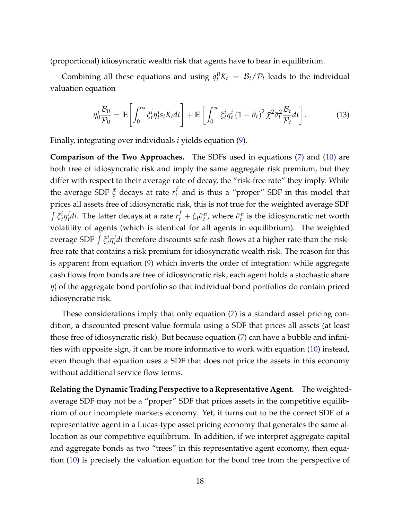(proportional) idiosyncratic wealth risk that agents have to bear in equilibrium.

Combining all these equations and using  $q_t^B K_t = \mathcal{B}_t / \mathcal{P}_t$  leads to the individual valuation equation

$$
\eta_0^i \frac{\mathcal{B}_0}{\mathcal{P}_0} = \mathbb{E}\left[\int_0^\infty \xi_t^i \eta_t^i s_t K_t dt\right] + \mathbb{E}\left[\int_0^\infty \xi_t^i \eta_t^i (1 - \vartheta_t)^2 \bar{\chi}^2 \tilde{\sigma}_t^2 \frac{\mathcal{B}_t}{\mathcal{P}_t} dt\right].
$$
 (13)

Finally, integrating over individuals *i* yields equation [\(9\)](#page-15-0).

**Comparison of the Two Approaches.** The SDFs used in equations [\(7\)](#page-14-0) and [\(10\)](#page-15-1) are both free of idiosyncratic risk and imply the same aggregate risk premium, but they differ with respect to their average rate of decay, the "risk-free rate" they imply. While the average SDF  $\bar{\xi}$  decays at rate  $r_t^f$  $\mathcal{F}_t$  and is thus a "proper" SDF in this model that prices all assets free of idiosyncratic risk, this is not true for the weighted average SDF  $\int \xi_t^i \eta_t^i di$ . The latter decays at a rate  $r_t^f + \xi_t \tilde{\sigma}_t^n$ , where  $\tilde{\sigma}_t^n$  is the idiosyncratic net worth volatility of agents (which is identical for all agents in equilibrium). The weighted average SDF  $\int \xi_t^i \eta_t^i di$  therefore discounts safe cash flows at a higher rate than the riskfree rate that contains a risk premium for idiosyncratic wealth risk. The reason for this is apparent from equation [\(9\)](#page-15-0) which inverts the order of integration: while aggregate cash flows from bonds are free of idiosyncratic risk, each agent holds a stochastic share  $\eta^i_t$  of the aggregate bond portfolio so that individual bond portfolios do contain priced idiosyncratic risk.

These considerations imply that only equation [\(7\)](#page-14-0) is a standard asset pricing condition, a discounted present value formula using a SDF that prices all assets (at least those free of idiosyncratic risk). But because equation [\(7\)](#page-14-0) can have a bubble and infinities with opposite sign, it can be more informative to work with equation [\(10\)](#page-15-1) instead, even though that equation uses a SDF that does not price the assets in this economy without additional service flow terms.

**Relating the Dynamic Trading Perspective to a Representative Agent.** The weightedaverage SDF may not be a "proper" SDF that prices assets in the competitive equilibrium of our incomplete markets economy. Yet, it turns out to be the correct SDF of a representative agent in a Lucas-type asset pricing economy that generates the same allocation as our competitive equilibrium. In addition, if we interpret aggregate capital and aggregate bonds as two "trees" in this representative agent economy, then equation [\(10\)](#page-15-1) is precisely the valuation equation for the bond tree from the perspective of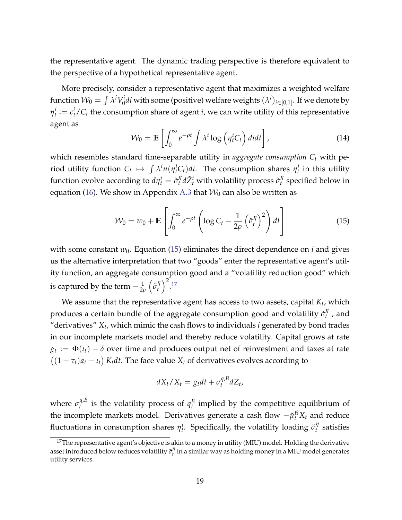the representative agent. The dynamic trading perspective is therefore equivalent to the perspective of a hypothetical representative agent.

<span id="page-18-1"></span>More precisely, consider a representative agent that maximizes a weighted welfare function  $\mathcal{W}_0 = \int \lambda^i V_0^i$  $\gamma_0^i$ *di* with some (positive) welfare weights  $(\lambda^i)_{i\in[0,1]}.$  If we denote by  $\eta_t^i := c_t^i/C_t$  the consumption share of agent *i*, we can write utility of this representative agent as

<span id="page-18-0"></span>
$$
\mathcal{W}_0 = \mathbb{E}\left[\int_0^\infty e^{-\rho t} \int \lambda^i \log\left(\eta_t^i C_t\right) d\mu\right],\tag{14}
$$

which resembles standard time-separable utility in *aggregate consumption C<sup>t</sup>* with period utility function  $C_t \mapsto \int \lambda^i u(\eta^i_t C_t) dt$ . The consumption shares  $\eta^i_t$  in this utility function evolve according to  $d\eta_t^i = \tilde{\sigma}_t^{\eta}$  $\tilde{a}^{\eta}_t d\tilde{Z}^i_t$  with volatility process  $\tilde{\sigma}^{\eta}_t$  $t'$  specified below in equation [\(16\)](#page-19-0). We show in Appendix [A.3](#page--1-2) that  $W_0$  can also be written as

$$
\mathcal{W}_0 = w_0 + \mathbb{E}\left[\int_0^\infty e^{-\rho t} \left(\log C_t - \frac{1}{2\rho} \left(\tilde{\sigma}_t^{\eta}\right)^2\right) dt\right]
$$
(15)

with some constant  $w_0$ . Equation [\(15\)](#page-18-0) eliminates the direct dependence on *i* and gives us the alternative interpretation that two "goods" enter the representative agent's utility function, an aggregate consumption good and a "volatility reduction good" which is captured by the term  $-\frac{1}{2\rho}$  $\left(\tilde{\sigma}_t^{\eta}\right)$ *t*  $\big)^2$ . [17](#page-0-0)

We assume that the representative agent has access to two assets, capital *K<sup>t</sup>* , which produces a certain bundle of the aggregate consumption good and volatility  $\tilde{\sigma}^\eta_t$  $t'$ , and "derivatives" *X<sup>t</sup>* , which mimic the cash flows to individuals *i* generated by bond trades in our incomplete markets model and thereby reduce volatility. Capital grows at rate  $g_t := \Phi(t_t) - \delta$  over time and produces output net of reinvestment and taxes at rate  $((1 - \tau_t)a_t - \iota_t) K_t dt$ . The face value  $X_t$  of derivatives evolves according to

$$
dX_t/X_t = g_t dt + \sigma_t^{q, B} dZ_t,
$$

where  $\sigma_t^{q,B}$  $q_t^{q,b}$  is the volatility process of  $q_t^B$  implied by the competitive equilibrium of the incomplete markets model. Derivatives generate a cash flow  $-\check{\mu}^{\mathcal{B}}_t X_t$  and reduce fluctuations in consumption shares  $\eta_t^i$ . Specifically, the volatility loading  $\tilde{\sigma}_t^{\eta}$ *t* satisfies

 $17$ The representative agent's objective is akin to a money in utility (MIU) model. Holding the derivative asset introduced below reduces volatility  $\tilde{\sigma}^\eta_t$  in a similar way as holding money in a MIU model generates utility services.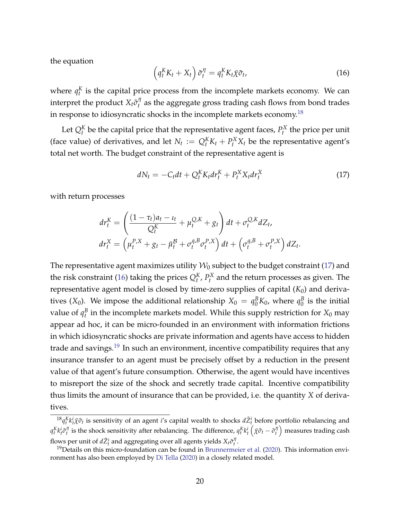<span id="page-19-0"></span>the equation

$$
\left(q_t^K K_t + X_t\right) \tilde{\sigma}_t^{\eta} = q_t^K K_t \bar{\chi} \tilde{\sigma}_t, \tag{16}
$$

where  $q_t^K$  is the capital price process from the incomplete markets economy. We can interpret the product  $X_t \tilde{\sigma}_t^{\eta}$  $t_t^{\prime\prime}$  as the aggregate gross trading cash flows from bond trades in response to idiosyncratic shocks in the incomplete markets economy.[18](#page-0-0)

Let  $Q_t^K$  be the capital price that the representative agent faces,  $P_t^X$  the price per unit (face value) of derivatives, and let  $N_t := Q_t^K K_t + P_t^K X_t$  be the representative agent's total net worth. The budget constraint of the representative agent is

<span id="page-19-1"></span>
$$
dN_t = -C_t dt + Q_t^K K_t dr_t^K + P_t^K X_t dr_t^K \qquad (17)
$$

with return processes

$$
dr_t^K = \left(\frac{(1 - \tau_t)a_t - \iota_t}{Q_t^K} + \mu_t^{Q,K} + g_t\right)dt + \sigma_t^{Q,K}dZ_t,
$$
  

$$
dr_t^X = \left(\mu_t^{P,X} + g_t - \check{\mu}_t^B + \sigma_t^{q,B}\sigma_t^{P,X}\right)dt + \left(\sigma_t^{q,B} + \sigma_t^{P,X}\right)dZ_t.
$$

The representative agent maximizes utility  $\mathcal{W}_0$  subject to the budget constraint [\(17\)](#page-19-1) and the risk constraint [\(16\)](#page-19-0) taking the prices  $Q_t^K$ ,  $P_t^X$  and the return processes as given. The representative agent model is closed by time-zero supplies of capital  $(K_0)$  and derivatives  $(X_0)$ . We impose the additional relationship  $X_0 = q_0^B K_0$ , where  $q_0^B$  $\frac{B}{0}$  is the initial value of  $q_t^B$  in the incomplete markets model. While this supply restriction for  $X_0$  may appear ad hoc, it can be micro-founded in an environment with information frictions in which idiosyncratic shocks are private information and agents have access to hidden trade and savings.<sup>[19](#page-0-0)</sup> In such an environment, incentive compatibility requires that any insurance transfer to an agent must be precisely offset by a reduction in the present value of that agent's future consumption. Otherwise, the agent would have incentives to misreport the size of the shock and secretly trade capital. Incentive compatibility thus limits the amount of insurance that can be provided, i.e. the quantity *X* of derivatives.

 ${}^{18}q_t^Kk_t^i\bar{\chi}\tilde{\sigma}_t$  is sensitivity of an agent *i*'s capital wealth to shocks  $d\tilde{Z}_t^i$  before portfolio rebalancing and  $q_t^Kk_t^i\tilde\sigma_t^\eta$  is the shock sensitivity after rebalancing. The difference,  $q_t^Kk_t^i\left(\bar\chi\tilde\sigma_t-\tilde\sigma_t^\eta\right)$  measures trading cash flows per unit of  $d\tilde{Z}_t^i$  and aggregating over all agents yields  $X_t \tilde{\sigma}_t^{\eta}$ .

 $19$  Details on this micro-foundation can be found in [Brunnermeier et al.](#page-44-10) [\(2020\)](#page-44-10). This information environment has also been employed by [Di Tella](#page-46-4) [\(2020\)](#page-46-4) in a closely related model.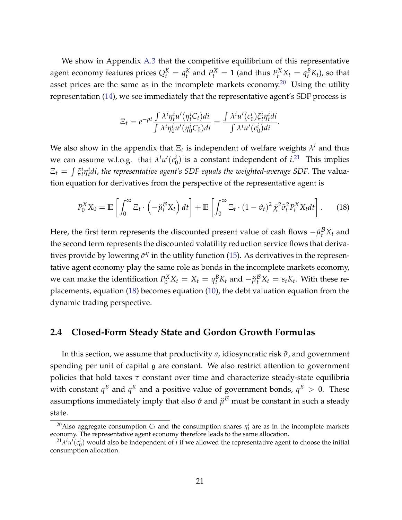We show in Appendix [A.3](#page--1-2) that the competitive equilibrium of this representative agent economy features prices  $Q_t^K = q_t^K$  and  $P_t^K = 1$  (and thus  $P_t^X X_t = q_t^B K_t$ ), so that asset prices are the same as in the incomplete markets economy.<sup>[20](#page-0-0)</sup> Using the utility representation [\(14\)](#page-18-1), we see immediately that the representative agent's SDF process is

<span id="page-20-0"></span>
$$
\Xi_t = e^{-\rho t} \frac{\int \lambda^i \eta_t^i u'(\eta_t^i C_t) di}{\int \lambda^i \eta_0^i u'(\eta_0^i C_0) di} = \frac{\int \lambda^i u'(c_0^i) \xi_t^i \eta_t^i di}{\int \lambda^i u'(c_0^i) di}.
$$

We also show in the appendix that  $\Xi_t$  is independent of welfare weights  $\lambda^i$  and thus we can assume w.l.o.g. that  $\lambda^i u'(c^i_0)$  $\binom{i}{0}$  is a constant independent of  $i$ <sup>[21](#page-0-0)</sup> This implies  $\Xi_t\,=\,\int \xi^i_t \eta^i_t d i$ , the representative agent's SDF equals the weighted-average SDF. The valuation equation for derivatives from the perspective of the representative agent is

$$
P_0^X X_0 = \mathbb{E}\left[\int_0^\infty \Xi_t \cdot \left(-\breve{\mu}_t^B X_t\right) dt\right] + \mathbb{E}\left[\int_0^\infty \Xi_t \cdot (1-\vartheta_t)^2 \bar{\chi}^2 \tilde{\sigma}_t^2 P_t^X X_t dt\right].
$$
 (18)

Here, the first term represents the discounted present value of cash flows  $-\check{\mu}^{\mathcal{B}}_t X_t$  and the second term represents the discounted volatility reduction service flows that derivatives provide by lowering  $\tilde{\sigma}^{\eta}$  in the utility function [\(15\)](#page-18-0). As derivatives in the representative agent economy play the same role as bonds in the incomplete markets economy, we can make the identification  $P_0^X X_t = X_t = q_t^B K_t$  and  $-\check{\mu}_t^B X_t = s_t K_t$ . With these replacements, equation [\(18\)](#page-20-0) becomes equation [\(10\)](#page-15-1), the debt valuation equation from the dynamic trading perspective.

### <span id="page-20-1"></span>**2.4 Closed-Form Steady State and Gordon Growth Formulas**

In this section, we assume that productivity *a*, idiosyncratic risk *σ*˜, and government spending per unit of capital g are constant. We also restrict attention to government policies that hold taxes *τ* constant over time and characterize steady-state equilibria with constant  $q^B$  and  $q^K$  and a positive value of government bonds,  $q^B > 0$ . These assumptions immediately imply that also  $\vartheta$  and  $\breve{\mu}^{\mathcal{B}}$  must be constant in such a steady state.

<sup>&</sup>lt;sup>20</sup>Also aggregate consumption  $C_t$  and the consumption shares  $\eta_t^i$  are as in the incomplete markets economy. The representative agent economy therefore leads to the same allocation.

 $^{21}\lambda^i u'(c_0^i)$  would also be independent of *i* if we allowed the representative agent to choose the initial consumption allocation.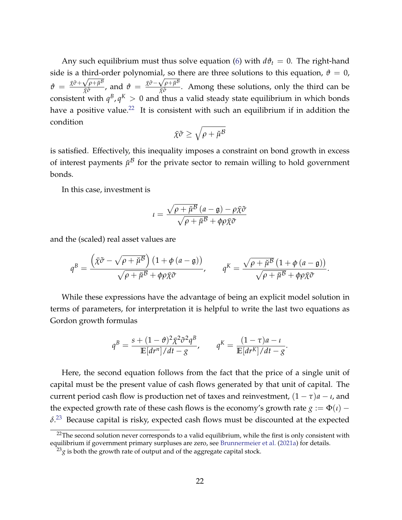Any such equilibrium must thus solve equation [\(6\)](#page-12-0) with  $d\theta_t = 0$ . The right-hand side is a third-order polynomial, so there are three solutions to this equation,  $\vartheta = 0$ ,  $\vartheta \; = \; \frac{\bar{\chi} \tilde{\sigma} + \sqrt{\rho + \breve{\mu}^{\mathcal{B}}}}{\bar{\chi} \tilde{\sigma}}$  $\frac{\sqrt{\rho+\check{\mu}^{\mathcal{B}}}}{\tilde{\chi}\tilde{\sigma}}$ , and  $\vartheta = \frac{\tilde{\chi}\tilde{\sigma}-\sqrt{\rho+\check{\mu}^{\mathcal{B}}}}{\tilde{\chi}\tilde{\sigma}}$ *χ*¯*σ*˜ . Among these solutions, only the third can be consistent with  $q^B$ ,  $q^K > 0$  and thus a valid steady state equilibrium in which bonds have a positive value.<sup>[22](#page-0-0)</sup> It is consistent with such an equilibrium if in addition the condition

$$
\bar{\chi}\tilde{\sigma}\geq \sqrt{\rho+\breve{\mu}^{\mathcal{B}}}
$$

is satisfied. Effectively, this inequality imposes a constraint on bond growth in excess of interest payments  $\breve{\mu}^{\mathcal{B}}$  for the private sector to remain willing to hold government bonds.

In this case, investment is

$$
u = \frac{\sqrt{\rho + \breve{\mu}^{\mathcal{B}}}(a - \mathfrak{g}) - \rho \bar{\chi}\tilde{\sigma}}{\sqrt{\rho + \breve{\mu}^{\mathcal{B}} + \phi \rho \bar{\chi}\tilde{\sigma}}}
$$

and the (scaled) real asset values are

$$
q^{B} = \frac{\left(\bar{\chi}\tilde{\sigma} - \sqrt{\rho + \check{\mu}^{B}}\right)\left(1 + \phi\left(a - \mathfrak{g}\right)\right)}{\sqrt{\rho + \check{\mu}^{B}} + \phi\rho\bar{\chi}\tilde{\sigma}}, \qquad q^{K} = \frac{\sqrt{\rho + \check{\mu}^{B}}\left(1 + \phi\left(a - \mathfrak{g}\right)\right)}{\sqrt{\rho + \check{\mu}^{B}} + \phi\rho\bar{\chi}\tilde{\sigma}}.
$$

While these expressions have the advantage of being an explicit model solution in terms of parameters, for interpretation it is helpful to write the last two equations as Gordon growth formulas

$$
q^B = \frac{s + (1 - \vartheta)^2 \bar{\chi}^2 \tilde{\sigma}^2 q^B}{\mathbb{E}[dr^n]/dt - g}, \qquad q^K = \frac{(1 - \tau)a - \iota}{\mathbb{E}[dr^K]/dt - g}.
$$

Here, the second equation follows from the fact that the price of a single unit of capital must be the present value of cash flows generated by that unit of capital. The current period cash flow is production net of taxes and reinvestment,  $(1 - \tau)a - i$ , and the expected growth rate of these cash flows is the economy's growth rate  $g := \Phi(t)$  –  $\delta$ <sup>[23](#page-0-0)</sup> Because capital is risky, expected cash flows must be discounted at the expected

<sup>&</sup>lt;sup>22</sup>The second solution never corresponds to a valid equilibrium, while the first is only consistent with equilibrium if government primary surpluses are zero, see [Brunnermeier et al.](#page-44-8) [\(2021a\)](#page-44-8) for details.

 $^{23}$ g is both the growth rate of output and of the aggregate capital stock.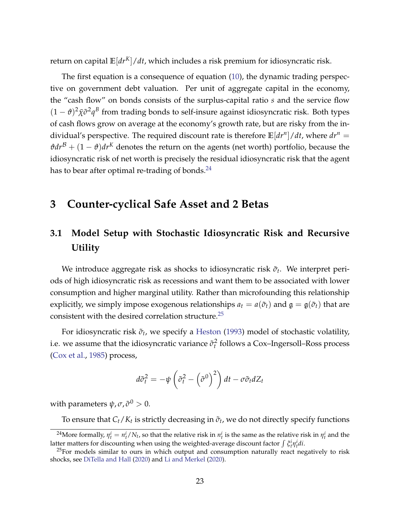return on capital **E**[*drK*]/*dt*, which includes a risk premium for idiosyncratic risk.

The first equation is a consequence of equation [\(10\)](#page-15-1), the dynamic trading perspective on government debt valuation. Per unit of aggregate capital in the economy, the "cash flow" on bonds consists of the surplus-capital ratio *s* and the service flow  $(1 - \theta)^2 \bar{\chi} \tilde{\sigma}^2 q^B$  from trading bonds to self-insure against idiosyncratic risk. Both types of cash flows grow on average at the economy's growth rate, but are risky from the individual's perspective. The required discount rate is therefore **E**[*dr<sup>n</sup>* ]/*dt*, where *dr<sup>n</sup>* =  $\theta dr^B + (1 - \theta) dr^K$  denotes the return on the agents (net worth) portfolio, because the idiosyncratic risk of net worth is precisely the residual idiosyncratic risk that the agent has to bear after optimal re-trading of bonds. $^{24}$  $^{24}$  $^{24}$ 

## <span id="page-22-0"></span>**3 Counter-cyclical Safe Asset and 2 Betas**

# **3.1 Model Setup with Stochastic Idiosyncratic Risk and Recursive Utility**

We introduce aggregate risk as shocks to idiosyncratic risk  $\tilde{\sigma}_t$ . We interpret periods of high idiosyncratic risk as recessions and want them to be associated with lower consumption and higher marginal utility. Rather than microfounding this relationship explicitly, we simply impose exogenous relationships  $a_t = a(\tilde{\sigma}_t)$  and  $\mathfrak{g} = \mathfrak{g}(\tilde{\sigma}_t)$  that are consistent with the desired correlation structure.<sup>[25](#page-0-0)</sup>

For idiosyncratic risk  $\tilde{\sigma}_t$ , we specify a [Heston](#page-45-10) [\(1993\)](#page-45-10) model of stochastic volatility, i.e. we assume that the idiosyncratic variance  $\tilde{\sigma}_t^2$  follows a Cox–Ingersoll–Ross process [\(Cox et al.,](#page-45-11) [1985\)](#page-45-11) process,

$$
d\tilde{\sigma}_t^2 = -\psi \left(\tilde{\sigma}_t^2 - \left(\tilde{\sigma}^0\right)^2\right) dt - \sigma \tilde{\sigma}_t dZ_t
$$

with parameters  $\psi$ ,  $\sigma$ ,  $\tilde{\sigma}^0 > 0$ .

To ensure that  $C_t/K_t$  is strictly decreasing in  $\tilde{\sigma}_t$ , we do not directly specify functions

<sup>&</sup>lt;sup>24</sup>More formally,  $\eta_t^i = n_t^i/N_t$ , so that the relative risk in  $n_t^i$  is the same as the relative risk in  $\eta_t^i$  and the latter matters for discounting when using the weighted-average discount factor  $\int \xi_i^i \eta_i^i di$ .

 $^{25}$ For models similar to ours in which output and consumption naturally react negatively to risk shocks, see [DiTella and Hall](#page-45-12) [\(2020\)](#page-45-12) and [Li and Merkel](#page-46-8) [\(2020\)](#page-46-8).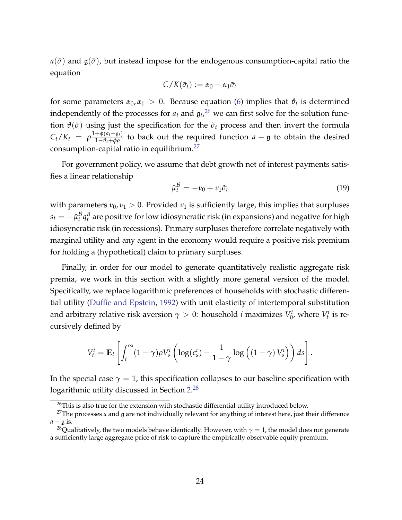$a(\tilde{\sigma})$  and  $\mathfrak{g}(\tilde{\sigma})$ , but instead impose for the endogenous consumption-capital ratio the equation

$$
C/K(\tilde{\sigma}_t):=\alpha_0-\alpha_1\tilde{\sigma}_t
$$

for some parameters  $\alpha_0, \alpha_1 > 0$ . Because equation [\(6\)](#page-12-0) implies that  $\vartheta_t$  is determined independently of the processes for  $a_t$  and  ${\mathfrak{g}}_t$ ,  $^{26}$  $^{26}$  $^{26}$  we can first solve for the solution function  $\vartheta(\tilde{\sigma})$  using just the specification for the  $\tilde{\sigma}_t$  process and then invert the formula  $C_t/K_t = \rho \frac{1+\phi(a_t-g_t)}{1-\vartheta_t+\phi\rho}$  to back out the required function *a* − g to obtain the desired consumption-capital ratio in equilibrium.<sup>[27](#page-0-0)</sup>

For government policy, we assume that debt growth net of interest payments satisfies a linear relationship

<span id="page-23-0"></span>
$$
\breve{\mu}_t^{\mathcal{B}} = -\nu_0 + \nu_1 \tilde{\sigma}_t \tag{19}
$$

with parameters  $\nu_0$ ,  $\nu_1 > 0$ . Provided  $\nu_1$  is sufficiently large, this implies that surpluses  $s_t = -\breve{\mu}_t^{\mathcal{B}}$  $^{\mathcal{B}}_t$ q $^{\mathcal{B}}_t$  are positive for low idiosyncratic risk (in expansions) and negative for high idiosyncratic risk (in recessions). Primary surpluses therefore correlate negatively with marginal utility and any agent in the economy would require a positive risk premium for holding a (hypothetical) claim to primary surpluses.

Finally, in order for our model to generate quantitatively realistic aggregate risk premia, we work in this section with a slightly more general version of the model. Specifically, we replace logarithmic preferences of households with stochastic differential utility [\(Duffie and Epstein,](#page-45-8) [1992\)](#page-45-8) with unit elasticity of intertemporal substitution and arbitrary relative risk aversion  $\gamma > 0$ : household *i* maximizes  $V_0^i$  $v_0^i$ , where  $V_t^i$  is recursively defined by

$$
V_t^i = \mathbb{E}_t \left[ \int_t^{\infty} (1 - \gamma) \rho V_s^i \left( \log(c_s^i) - \frac{1}{1 - \gamma} \log \left( (1 - \gamma) V_s^i \right) \right) ds \right].
$$

In the special case  $\gamma = 1$ , this specification collapses to our baseline specification with logarithmic utility discussed in Section [2.](#page-5-0) $^{28}$  $^{28}$  $^{28}$ 

 $26$ This is also true for the extension with stochastic differential utility introduced below.

<sup>27</sup>The processes *a* and g are not individually relevant for anything of interest here, just their difference  $a - \mathfrak{g}$  is.

<sup>&</sup>lt;sup>28</sup>Qualitatively, the two models behave identically. However, with  $\gamma = 1$ , the model does not generate a sufficiently large aggregate price of risk to capture the empirically observable equity premium.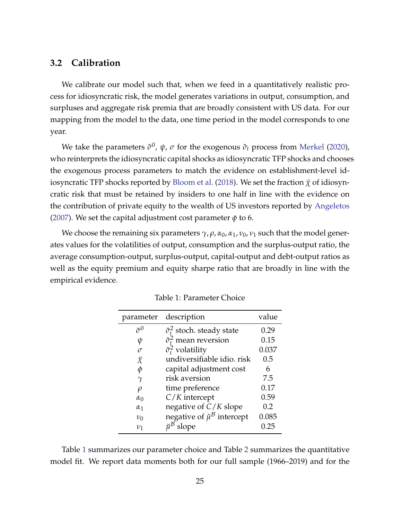#### **3.2 Calibration**

We calibrate our model such that, when we feed in a quantitatively realistic process for idiosyncratic risk, the model generates variations in output, consumption, and surpluses and aggregate risk premia that are broadly consistent with US data. For our mapping from the model to the data, one time period in the model corresponds to one year.

We take the parameters  $\tilde{\sigma}^0$ ,  $\psi$ ,  $\sigma$  for the exogenous  $\tilde{\sigma}_t$  process from [Merkel](#page-46-9) [\(2020\)](#page-46-9), who reinterprets the idiosyncratic capital shocks as idiosyncratic TFP shocks and chooses the exogenous process parameters to match the evidence on establishment-level id-iosyncratic TFP shocks reported by [Bloom et al.](#page-44-11) [\(2018\)](#page-44-11). We set the fraction  $\bar{\chi}$  of idiosyncratic risk that must be retained by insiders to one half in line with the evidence on the contribution of private equity to the wealth of US investors reported by [Angeletos](#page-43-4) [\(2007\)](#page-43-4). We set the capital adjustment cost parameter  $\phi$  to 6.

<span id="page-24-0"></span>We choose the remaining six parameters *γ*, *ρ*, *α*0, *α*1, *ν*0, *ν*<sup>1</sup> such that the model generates values for the volatilities of output, consumption and the surplus-output ratio, the average consumption-output, surplus-output, capital-output and debt-output ratios as well as the equity premium and equity sharpe ratio that are broadly in line with the empirical evidence.

| parameter          | description                                       | value |
|--------------------|---------------------------------------------------|-------|
| $\tilde{\sigma}^0$ | $\tilde{\sigma}_t^2$ stoch. steady state          | 0.29  |
| ψ                  | $\tilde{\sigma}_t^2$ mean reversion               | 0.15  |
| $\sigma$           | $\tilde{\sigma}_t^2$ volatility                   | 0.037 |
| $\bar{\chi}$       | undiversifiable idio, risk                        | 0.5   |
| φ                  | capital adjustment cost                           | 6     |
| $\gamma$           | risk aversion                                     | 7.5   |
| $\rho$             | time preference                                   | 0.17  |
| $\alpha_0$         | $C/K$ intercept                                   | 0.59  |
| $\alpha_1$         | negative of $C/K$ slope                           | 0.2   |
| $\nu_0$            | negative of $\tilde{\mu}^{\mathcal{B}}$ intercept | 0.085 |
| $v_1$              | slope                                             | 0.25  |

|  | <b>Table 1: Parameter Choice</b> |  |
|--|----------------------------------|--|
|  |                                  |  |

Table [1](#page-24-0) summarizes our parameter choice and Table [2](#page-25-0) summarizes the quantitative model fit. We report data moments both for our full sample (1966–2019) and for the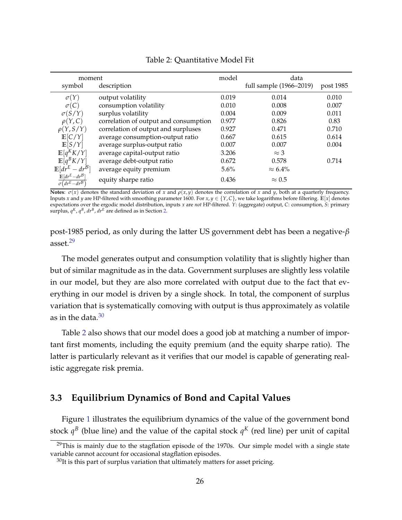<span id="page-25-0"></span>

| moment                                                        |                                       | model   | data                    |           |
|---------------------------------------------------------------|---------------------------------------|---------|-------------------------|-----------|
| symbol                                                        | description                           |         | full sample (1966–2019) | post 1985 |
| $\sigma(Y)$                                                   | output volatility                     | 0.019   | 0.014                   | 0.010     |
| $\sigma(C)$                                                   | consumption volatility                | 0.010   | 0.008                   | 0.007     |
| $\sigma(S/Y)$                                                 | surplus volatility                    | 0.004   | 0.009                   | 0.011     |
| $\rho(Y,C)$                                                   | correlation of output and consumption | 0.977   | 0.826                   | 0.83      |
| $\rho(Y, S/Y)$                                                | correlation of output and surpluses   | 0.927   | 0.471                   | 0.710     |
| E[C/Y]                                                        | average consumption-output ratio      | 0.667   | 0.615                   | 0.614     |
| E[S/Y]                                                        | average surplus-output ratio          | 0.007   | 0.007                   | 0.004     |
| $\mathbb{E}[q^K K/Y]$                                         | average capital-output ratio          | 3.206   | $\approx$ 3             |           |
| $\mathbb{E}[q^B K/Y]$                                         | average debt-output ratio             | 0.672   | 0.578                   | 0.714     |
| $\mathbb{E}[dr^E - dr^B]$                                     | average equity premium                | $5.6\%$ | $\approx 6.4\%$         |           |
| $\mathbb{E}[dr^E - dr^B]$<br>$\overline{\sigma(dr^E - dr^B)}$ | equity sharpe ratio                   | 0.436   | $\approx 0.5$           |           |

#### Table 2: Quantitative Model Fit

**Notes**:  $\sigma(x)$  denotes the standard deviation of *x* and  $\rho(x, y)$  denotes the correlation of *x* and *y*, both at a quarterly frequency. Inputs *x* and *y* are HP-filtered with smoothing parameter 1600. For *x*, *y* ∈ {*Y*, *C*}, we take logarithms before filtering. **E**[*x*] denotes expectations over the ergodic model distribution, inputs *x* are *not* HP-filtered. *Y*: (aggregate) output, *C*: consumption, *S*: primary surplus,  $q^K$ ,  $q^B$ ,  $dr^B$ ,  $dr^E$  are defined as in Section [2.](#page-5-0)

post-1985 period, as only during the latter US government debt has been a negative-*β* asset.[29](#page-0-0)

The model generates output and consumption volatility that is slightly higher than but of similar magnitude as in the data. Government surpluses are slightly less volatile in our model, but they are also more correlated with output due to the fact that everything in our model is driven by a single shock. In total, the component of surplus variation that is systematically comoving with output is thus approximately as volatile as in the data. $30$ 

Table [2](#page-25-0) also shows that our model does a good job at matching a number of important first moments, including the equity premium (and the equity sharpe ratio). The latter is particularly relevant as it verifies that our model is capable of generating realistic aggregate risk premia.

#### **3.3 Equilibrium Dynamics of Bond and Capital Values**

Figure [1](#page-26-0) illustrates the equilibrium dynamics of the value of the government bond stock  $q^B$  (blue line) and the value of the capital stock  $q^K$  (red line) per unit of capital

 $29$ This is mainly due to the stagflation episode of the 1970s. Our simple model with a single state variable cannot account for occasional stagflation episodes.

 $30$ It is this part of surplus variation that ultimately matters for asset pricing.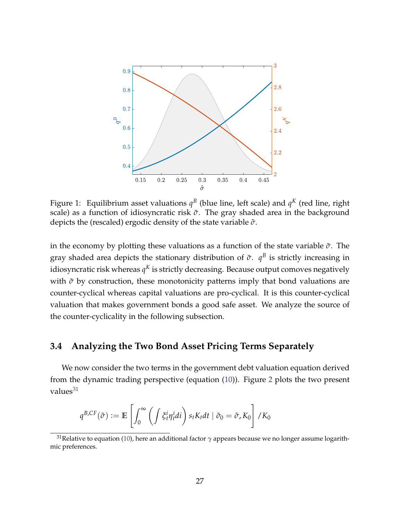<span id="page-26-0"></span>

Figure 1: Equilibrium asset valuations  $q^B$  (blue line, left scale) and  $q^K$  (red line, right scale) as a function of idiosyncratic risk  $\tilde{\sigma}$ . The gray shaded area in the background depicts the (rescaled) ergodic density of the state variable *σ*˜.

in the economy by plotting these valuations as a function of the state variable  $\tilde{\sigma}$ . The gray shaded area depicts the stationary distribution of  $\tilde{\sigma}$ .  $q^B$  is strictly increasing in idiosyncratic risk whereas  $q^K$  is strictly decreasing. Because output comoves negatively with  $σ$  by construction, these monotonicity patterns imply that bond valuations are counter-cyclical whereas capital valuations are pro-cyclical. It is this counter-cyclical valuation that makes government bonds a good safe asset. We analyze the source of the counter-cyclicality in the following subsection.

#### **3.4 Analyzing the Two Bond Asset Pricing Terms Separately**

We now consider the two terms in the government debt valuation equation derived from the dynamic trading perspective (equation [\(10\)](#page-15-1)). Figure [2](#page-28-0) plots the two present values $31$ 

$$
q^{B,CF}(\tilde{\sigma}) := \mathbb{E}\left[\int_0^{\infty} \left(\int \xi_t^i \eta_t^i di\right) s_t K_t dt \mid \tilde{\sigma}_0 = \tilde{\sigma}, K_0\right] / K_0
$$

<sup>31</sup>Relative to equation [\(10\)](#page-15-1), here an additional factor *γ* appears because we no longer assume logarithmic preferences.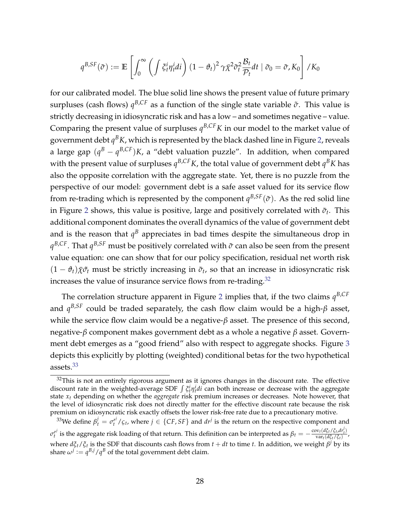$$
q^{B,SF}(\tilde{\sigma}) := \mathbb{E}\left[\int_0^{\infty} \left(\int \xi_t^i \eta_t^i di\right) (1-\vartheta_t)^2 \gamma \bar{\chi}^2 \tilde{\sigma}_t^2 \frac{\mathcal{B}_t}{\mathcal{P}_t} dt \mid \tilde{\sigma}_0 = \tilde{\sigma}, K_0\right] / K_0
$$

for our calibrated model. The blue solid line shows the present value of future primary surpluses (cash flows)  $q^{B,CF}$  as a function of the single state variable  $\tilde{\sigma}$ . This value is strictly decreasing in idiosyncratic risk and has a low – and sometimes negative – value. Comparing the present value of surpluses  $q^{B,CF}K$  in our model to the market value of government debt  $q^BK$ , which is represented by the black dashed line in Figure [2,](#page-28-0) reveals a large gap (*q <sup>B</sup>* − *q <sup>B</sup>*,*CF*)*K*, a "debt valuation puzzle". In addition, when compared with the present value of surpluses  $q^{B,CF}K$ , the total value of government debt  $q^BK$  has also the opposite correlation with the aggregate state. Yet, there is no puzzle from the perspective of our model: government debt is a safe asset valued for its service flow from re-trading which is represented by the component  $q^{B,SF}(\tilde{\sigma})$ . As the red solid line in Figure [2](#page-28-0) shows, this value is positive, large and positively correlated with  $\tilde{\sigma}_t$ . This additional component dominates the overall dynamics of the value of government debt and is the reason that  $q^B$  appreciates in bad times despite the simultaneous drop in *q <sup>B</sup>*,*CF*. That *q <sup>B</sup>*,*SF* must be positively correlated with *σ*˜ can also be seen from the present value equation: one can show that for our policy specification, residual net worth risk  $(1 - \vartheta_t)\overline{\chi}\tilde{\sigma}_t$  must be strictly increasing in  $\tilde{\sigma}_t$ , so that an increase in idiosyncratic risk increases the value of insurance service flows from re-trading.<sup>[32](#page-0-0)</sup>

The correlation structure apparent in Figure [2](#page-28-0) implies that, if the two claims *q B*,*CF* and *q <sup>B</sup>*,*SF* could be traded separately, the cash flow claim would be a high-*β* asset, while the service flow claim would be a negative-*β* asset. The presence of this second, negative-*β* component makes government debt as a whole a negative *β* asset. Government debt emerges as a "good friend" also with respect to aggregate shocks. Figure [3](#page-28-1) depicts this explicitly by plotting (weighted) conditional betas for the two hypothetical assets.[33](#page-0-0)

 $32$ This is not an entirely rigorous argument as it ignores changes in the discount rate. The effective discount rate in the weighted-average SDF  $\int \xi_t^i \eta_t^i di$  can both increase or decrease with the aggregate state *x<sup>t</sup>* depending on whether the *aggregate* risk premium increases or decreases. Note however, that the level of idiosyncratic risk does not directly matter for the effective discount rate because the risk premium on idiosyncratic risk exactly offsets the lower risk-free rate due to a precautionary motive.

<sup>&</sup>lt;sup>33</sup>We define  $\beta_t^j = \sigma_t^{r^j}/\varsigma_t$ , where  $j \in \{CF, SF\}$  and  $dr^j$  is the return on the respective component and  $\sigma_t^{rj}$ *t<sup>i</sup>* is the aggregate risk loading of that return. This definition can be interpreted as  $β_t = -\frac{\text{cov}_t(d\xi_t/\xi_t, dr^j_t)}{\text{var}_t(d\xi_t/\xi_t)}$  $\frac{\sqrt{v_t(u_{St} + f_{t}u_{t}})}{\sqrt{v_{St}^2 + f_{St}^2}}$ where  $d\xi_t/\xi_t$  is the SDF that discounts cash flows from  $t+dt$  to time  $t.$  In addition, we weight  $\beta^j$  by its share  $\omega^j := q^{B,j}/q^B$  of the total government debt claim.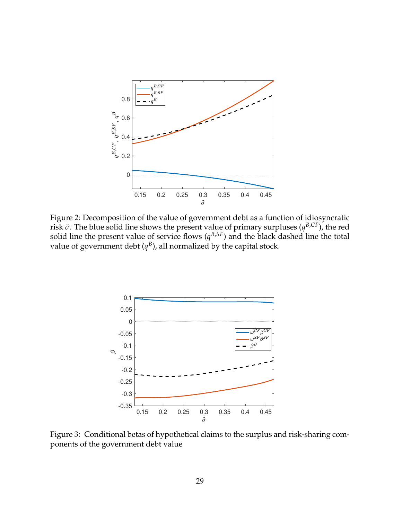<span id="page-28-0"></span>

Figure 2: Decomposition of the value of government debt as a function of idiosyncratic risk *σ*˜. The blue solid line shows the present value of primary surpluses (*q <sup>B</sup>*,*CF*), the red solid line the present value of service flows  $(q^{B,SF})$  and the black dashed line the total value of government debt  $(q^B)$ , all normalized by the capital stock.

<span id="page-28-1"></span>

Figure 3: Conditional betas of hypothetical claims to the surplus and risk-sharing components of the government debt value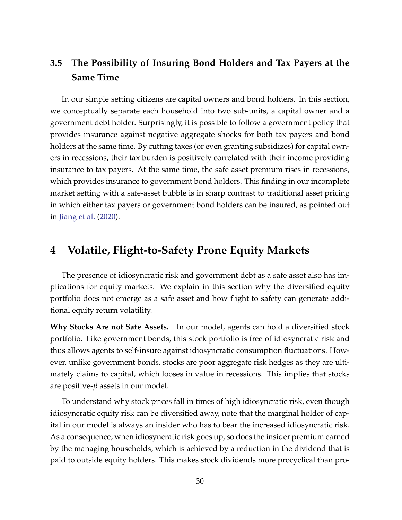# **3.5 The Possibility of Insuring Bond Holders and Tax Payers at the Same Time**

In our simple setting citizens are capital owners and bond holders. In this section, we conceptually separate each household into two sub-units, a capital owner and a government debt holder. Surprisingly, it is possible to follow a government policy that provides insurance against negative aggregate shocks for both tax payers and bond holders at the same time. By cutting taxes (or even granting subsidizes) for capital owners in recessions, their tax burden is positively correlated with their income providing insurance to tax payers. At the same time, the safe asset premium rises in recessions, which provides insurance to government bond holders. This finding in our incomplete market setting with a safe-asset bubble is in sharp contrast to traditional asset pricing in which either tax payers or government bond holders can be insured, as pointed out in [Jiang et al.](#page-45-6) [\(2020\)](#page-45-6).

## **4 Volatile, Flight-to-Safety Prone Equity Markets**

The presence of idiosyncratic risk and government debt as a safe asset also has implications for equity markets. We explain in this section why the diversified equity portfolio does not emerge as a safe asset and how flight to safety can generate additional equity return volatility.

**Why Stocks Are not Safe Assets.** In our model, agents can hold a diversified stock portfolio. Like government bonds, this stock portfolio is free of idiosyncratic risk and thus allows agents to self-insure against idiosyncratic consumption fluctuations. However, unlike government bonds, stocks are poor aggregate risk hedges as they are ultimately claims to capital, which looses in value in recessions. This implies that stocks are positive-*β* assets in our model.

To understand why stock prices fall in times of high idiosyncratic risk, even though idiosyncratic equity risk can be diversified away, note that the marginal holder of capital in our model is always an insider who has to bear the increased idiosyncratic risk. As a consequence, when idiosyncratic risk goes up, so does the insider premium earned by the managing households, which is achieved by a reduction in the dividend that is paid to outside equity holders. This makes stock dividends more procyclical than pro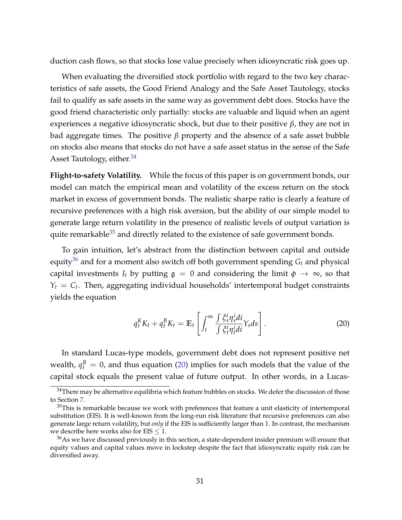duction cash flows, so that stocks lose value precisely when idiosyncratic risk goes up.

When evaluating the diversified stock portfolio with regard to the two key characteristics of safe assets, the Good Friend Analogy and the Safe Asset Tautology, stocks fail to qualify as safe assets in the same way as government debt does. Stocks have the good friend characteristic only partially: stocks are valuable and liquid when an agent experiences a negative idiosyncratic shock, but due to their positive *β*, they are not in bad aggregate times. The positive *β* property and the absence of a safe asset bubble on stocks also means that stocks do not have a safe asset status in the sense of the Safe Asset Tautology, either. $34$ 

**Flight-to-safety Volatility.** While the focus of this paper is on government bonds, our model can match the empirical mean and volatility of the excess return on the stock market in excess of government bonds. The realistic sharpe ratio is clearly a feature of recursive preferences with a high risk aversion, but the ability of our simple model to generate large return volatility in the presence of realistic levels of output variation is quite remarkable $35$  and directly related to the existence of safe government bonds.

To gain intuition, let's abstract from the distinction between capital and outside equity<sup>[36](#page-0-0)</sup> and for a moment also switch off both government spending  $G_t$  and physical capital investments  $I_t$  by putting  $\mathfrak{g} = 0$  and considering the limit  $\phi \to \infty$ , so that  $Y_t = C_t$ . Then, aggregating individual households' intertemporal budget constraints yields the equation

<span id="page-30-0"></span>
$$
q_t^K K_t + q_t^K K_t = \mathbb{E}_t \left[ \int_t^\infty \frac{\int \xi_s^i \eta_s^i d\mathbf{i}}{\int \xi_t^i \eta_t^i d\mathbf{i}} Y_s ds \right]. \tag{20}
$$

In standard Lucas-type models, government debt does not represent positive net wealth,  $q_t^B = 0$ , and thus equation [\(20\)](#page-30-0) implies for such models that the value of the capital stock equals the present value of future output. In other words, in a Lucas-

<sup>&</sup>lt;sup>34</sup>There may be alternative equilibria which feature bubbles on stocks. We defer the discussion of those to Section [7.](#page-37-0)

 $35$ This is remarkable because we work with preferences that feature a unit elasticity of intertemporal substitution (EIS). It is well-known from the long-run risk literature that recursive preferences can also generate large return volatility, but *only* if the EIS is sufficiently larger than 1. In contrast, the mechanism we describe here works also for  $EIS \leq 1$ .

 $36\text{As}$  we have discussed previously in this section, a state-dependent insider premium will ensure that equity values and capital values move in lockstep despite the fact that idiosyncratic equity risk can be diversified away.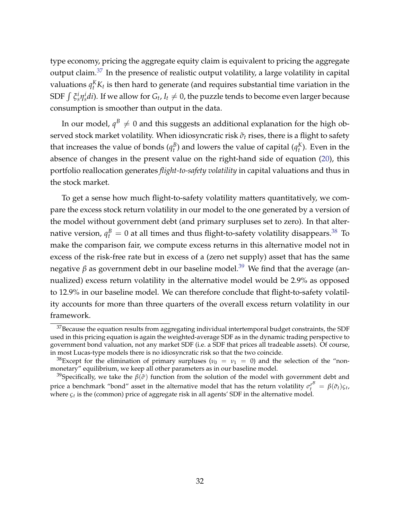type economy, pricing the aggregate equity claim is equivalent to pricing the aggregate output claim.[37](#page-0-0) In the presence of realistic output volatility, a large volatility in capital valuations  $q_t^K K_t$  is then hard to generate (and requires substantial time variation in the SDF  $\int \xi_s^i \eta_s^i di$ ). If we allow for  $G_t$ ,  $I_t \neq 0$ , the puzzle tends to become even larger because consumption is smoother than output in the data.

In our model,  $q^B \neq 0$  and this suggests an additional explanation for the high observed stock market volatility. When idiosyncratic risk  $σ_t$  rises, there is a flight to safety that increases the value of bonds  $(q_t^B)$  and lowers the value of capital  $(q_t^K)$ . Even in the absence of changes in the present value on the right-hand side of equation [\(20\)](#page-30-0), this portfolio reallocation generates *flight-to-safety volatility* in capital valuations and thus in the stock market.

To get a sense how much flight-to-safety volatility matters quantitatively, we compare the excess stock return volatility in our model to the one generated by a version of the model without government debt (and primary surpluses set to zero). In that alternative version,  $q_t^B = 0$  at all times and thus flight-to-safety volatility disappears. $^{38}$  $^{38}$  $^{38}$  To make the comparison fair, we compute excess returns in this alternative model not in excess of the risk-free rate but in excess of a (zero net supply) asset that has the same negative *β* as government debt in our baseline model.<sup>[39](#page-0-0)</sup> We find that the average (annualized) excess return volatility in the alternative model would be 2.9% as opposed to 12.9% in our baseline model. We can therefore conclude that flight-to-safety volatility accounts for more than three quarters of the overall excess return volatility in our framework.

 $^{37}\rm{Because}$  the equation results from aggregating individual intertemporal budget constraints, the SDF used in this pricing equation is again the weighted-average SDF as in the dynamic trading perspective to government bond valuation, not any market SDF (i.e. a SDF that prices all tradeable assets). Of course, in most Lucas-type models there is no idiosyncratic risk so that the two coincide.

<sup>&</sup>lt;sup>38</sup>Except for the elimination of primary surpluses ( $v_0 = v_1 = 0$ ) and the selection of the "nonmonetary" equilibrium, we keep all other parameters as in our baseline model.

<sup>&</sup>lt;sup>39</sup>Specifically, we take the  $\beta(\tilde{\sigma})$  function from the solution of the model with government debt and price a benchmark "bond" asset in the alternative model that has the return volatility  $\sigma_t^{rB} = \beta(\tilde{\sigma}_t)\varsigma_t$ , where *ςt* is the (common) price of aggregate risk in all agents' SDF in the alternative model.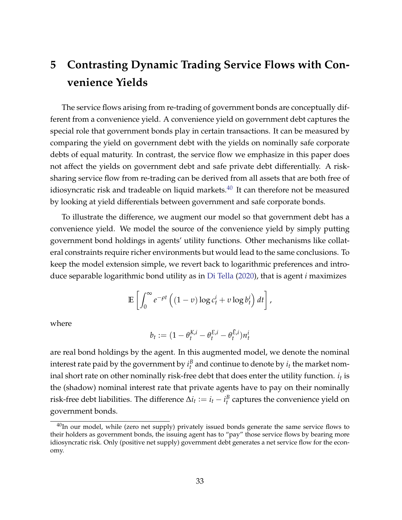# **5 Contrasting Dynamic Trading Service Flows with Convenience Yields**

The service flows arising from re-trading of government bonds are conceptually different from a convenience yield. A convenience yield on government debt captures the special role that government bonds play in certain transactions. It can be measured by comparing the yield on government debt with the yields on nominally safe corporate debts of equal maturity. In contrast, the service flow we emphasize in this paper does not affect the yields on government debt and safe private debt differentially. A risksharing service flow from re-trading can be derived from all assets that are both free of idiosyncratic risk and tradeable on liquid markets. $40$  It can therefore not be measured by looking at yield differentials between government and safe corporate bonds.

To illustrate the difference, we augment our model so that government debt has a convenience yield. We model the source of the convenience yield by simply putting government bond holdings in agents' utility functions. Other mechanisms like collateral constraints require richer environments but would lead to the same conclusions. To keep the model extension simple, we revert back to logarithmic preferences and introduce separable logarithmic bond utility as in [Di Tella](#page-46-4) [\(2020\)](#page-46-4), that is agent *i* maximizes

$$
\mathbb{E}\left[\int_0^\infty e^{-\rho t}\left((1-v)\log c_t^i + v\log b_t^i\right)dt\right],
$$

where

$$
b_t := (1 - \theta_t^{K,i} - \theta_t^{E,i} - \theta_t^{\bar{E},i})n_t^i
$$

are real bond holdings by the agent. In this augmented model, we denote the nominal interest rate paid by the government by  $i_t^B$  and continue to denote by  $i_t$  the market nominal short rate on other nominally risk-free debt that does enter the utility function.  $i_t$  is the (shadow) nominal interest rate that private agents have to pay on their nominally risk-free debt liabilities. The difference  $\Delta i_t := i_t - i_t^B$  captures the convenience yield on government bonds.

 $40$ In our model, while (zero net supply) privately issued bonds generate the same service flows to their holders as government bonds, the issuing agent has to "pay" those service flows by bearing more idiosyncratic risk. Only (positive net supply) government debt generates a net service flow for the economy.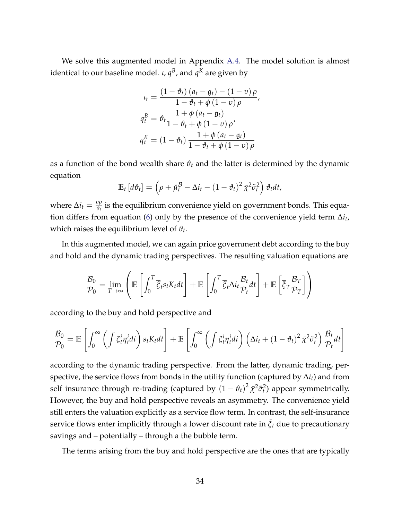We solve this augmented model in Appendix [A.4.](#page--1-3) The model solution is almost identical to our baseline model. *ι, q<sup>B</sup>,* and  $q^K$  are given by

$$
u_t = \frac{(1 - \vartheta_t) (a_t - g_t) - (1 - v) \rho}{1 - \vartheta_t + \varphi (1 - v) \rho},
$$
  

$$
q_t^B = \vartheta_t \frac{1 + \varphi (a_t - g_t)}{1 - \vartheta_t + \varphi (1 - v) \rho},
$$
  

$$
q_t^K = (1 - \vartheta_t) \frac{1 + \varphi (a_t - g_t)}{1 - \vartheta_t + \varphi (1 - v) \rho}
$$

as a function of the bond wealth share  $\vartheta_t$  and the latter is determined by the dynamic equation

$$
\mathbb{E}_t\left[d\vartheta_t\right] = \left(\rho + \breve{\mu}_t^{\mathcal{B}} - \Delta i_t - (1 - \vartheta_t)^2 \bar{\chi}^2 \tilde{\sigma}_t^2\right) \vartheta_t dt,
$$

where  $\Delta i_t = \frac{v\rho}{\vartheta_t}$  $\frac{\partial \rho}{\partial t}$  is the equilibrium convenience yield on government bonds. This equation differs from equation [\(6\)](#page-12-0) only by the presence of the convenience yield term ∆*i<sup>t</sup>* , which raises the equilibrium level of  $\vartheta_t$ .

In this augmented model, we can again price government debt according to the buy and hold and the dynamic trading perspectives. The resulting valuation equations are

$$
\frac{\mathcal{B}_0}{\mathcal{P}_0} = \lim_{T \to \infty} \left( \mathbb{E} \left[ \int_0^T \overline{\xi}_t s_t K_t dt \right] + \mathbb{E} \left[ \int_0^T \overline{\xi}_t \Delta i_t \frac{\mathcal{B}_t}{\mathcal{P}_t} dt \right] + \mathbb{E} \left[ \overline{\xi}_T \frac{\mathcal{B}_T}{\mathcal{P}_T} \right] \right)
$$

according to the buy and hold perspective and

$$
\frac{\mathcal{B}_0}{\mathcal{P}_0} = \mathbb{E}\left[\int_0^\infty \left(\int \xi_t^i \eta_t^i di\right) s_t K_t dt\right] + \mathbb{E}\left[\int_0^\infty \left(\int \xi_t^i \eta_t^i di\right) \left(\Delta i_t + (1-\vartheta_t)^2 \bar{\chi}^2 \tilde{\sigma}_t^2\right) \frac{\mathcal{B}_t}{\mathcal{P}_t} dt\right]
$$

according to the dynamic trading perspective. From the latter, dynamic trading, perspective, the service flows from bonds in the utility function (captured by ∆*it*) and from self insurance through re-trading (captured by  $(1 - \vartheta_t)^2 \bar{\chi}^2 \tilde{\sigma}_t^2$ ) appear symmetrically. However, the buy and hold perspective reveals an asymmetry. The convenience yield still enters the valuation explicitly as a service flow term. In contrast, the self-insurance service flows enter implicitly through a lower discount rate in  $\bar{\xi}_t$  due to precautionary savings and – potentially – through a the bubble term.

The terms arising from the buy and hold perspective are the ones that are typically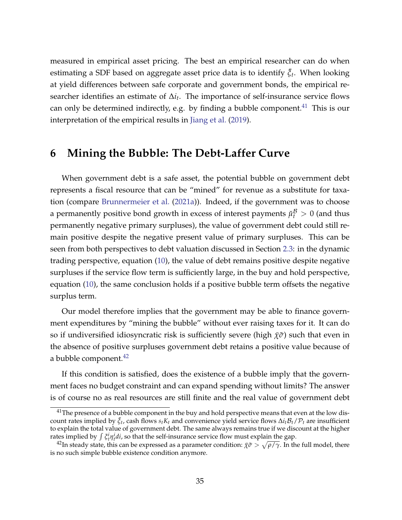measured in empirical asset pricing. The best an empirical researcher can do when estimating a SDF based on aggregate asset price data is to identify ¯*ξ<sup>t</sup>* . When looking at yield differences between safe corporate and government bonds, the empirical researcher identifies an estimate of Δ*i*<sub>*t*</sub>. The importance of self-insurance service flows can only be determined indirectly, e.g. by finding a bubble component. $^{41}$  $^{41}$  $^{41}$  This is our interpretation of the empirical results in [Jiang et al.](#page-45-0) [\(2019\)](#page-45-0).

### **6 Mining the Bubble: The Debt-Laffer Curve**

When government debt is a safe asset, the potential bubble on government debt represents a fiscal resource that can be "mined" for revenue as a substitute for taxation (compare [Brunnermeier et al.](#page-44-8) [\(2021a\)](#page-44-8)). Indeed, if the government was to choose a permanently positive bond growth in excess of interest payments  $\breve{\mu}_t^{\mathcal{B}}>0$  (and thus permanently negative primary surpluses), the value of government debt could still remain positive despite the negative present value of primary surpluses. This can be seen from both perspectives to debt valuation discussed in Section [2.3:](#page-12-1) in the dynamic trading perspective, equation [\(10\)](#page-15-1), the value of debt remains positive despite negative surpluses if the service flow term is sufficiently large, in the buy and hold perspective, equation [\(10\)](#page-15-1), the same conclusion holds if a positive bubble term offsets the negative surplus term.

Our model therefore implies that the government may be able to finance government expenditures by "mining the bubble" without ever raising taxes for it. It can do so if undiversified idiosyncratic risk is sufficiently severe (high  $\bar{\chi} \tilde{\sigma}$ ) such that even in the absence of positive surpluses government debt retains a positive value because of a bubble component. $42$ 

If this condition is satisfied, does the existence of a bubble imply that the government faces no budget constraint and can expand spending without limits? The answer is of course no as real resources are still finite and the real value of government debt

 $41$ The presence of a bubble component in the buy and hold perspective means that even at the low discount rates implied by ¯*ξ<sup>t</sup>* , cash flows *stK<sup>t</sup>* and convenience yield service flows ∆*it*B*t*/P*<sup>t</sup>* are insufficient to explain the total value of government debt. The same always remains true if we discount at the higher rates implied by  $\int \xi_i^i \eta_i^i di$ , so that the self-insurance service flow must explain the gap.

 $^{42}$ In steady state, this can be expressed as a parameter condition:  $\bar\chi\tilde\sigma>\sqrt{\rho/\gamma}.$  In the full model, there is no such simple bubble existence condition anymore.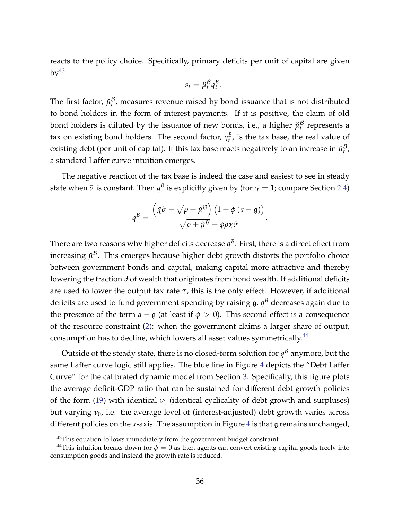reacts to the policy choice. Specifically, primary deficits per unit of capital are given  $by<sup>43</sup>$  $by<sup>43</sup>$  $by<sup>43</sup>$ 

$$
-s_t = \breve{\mu}_t^B q_t^B.
$$

The first factor,  $\breve{\mu}_{t}^{\mathcal{B}}$  $t$ <sup>*b*</sup>, measures revenue raised by bond issuance that is not distributed to bond holders in the form of interest payments. If it is positive, the claim of old bond holders is diluted by the issuance of new bonds, i.e., a higher  $\check{\mu}^{\mathcal{B}}_t$  $t$ <sup>*b*</sup> represents a tax on existing bond holders. The second factor,  $q_t^B$ , is the tax base, the real value of existing debt (per unit of capital). If this tax base reacts negatively to an increase in  $\check{\mu}_t^{\mathcal{B}}$ *t* , a standard Laffer curve intuition emerges.

The negative reaction of the tax base is indeed the case and easiest to see in steady state when  $\tilde{\sigma}$  is constant. Then  $q^B$  is explicitly given by (for  $\gamma=1$ ; compare Section [2.4\)](#page-20-1)

$$
q^{B} = \frac{\left(\bar{\chi}\tilde{\sigma} - \sqrt{\rho + \breve{\mu}^{B}}\right)\left(1 + \phi\left(a - \mathfrak{g}\right)\right)}{\sqrt{\rho + \breve{\mu}^{B}} + \phi\rho\bar{\chi}\tilde{\sigma}}
$$

.

There are two reasons why higher deficits decrease  $q^B$ . First, there is a direct effect from increasing  $\breve{\mu}^{\mathcal{B}}.$  This emerges because higher debt growth distorts the portfolio choice between government bonds and capital, making capital more attractive and thereby lowering the fraction *ϑ* of wealth that originates from bond wealth. If additional deficits are used to lower the output tax rate  $\tau$ , this is the only effect. However, if additional deficits are used to fund government spending by raising  $\mathfrak{g}$ ,  $\mathfrak{q}^B$  decreases again due to the presence of the term  $a - \mathfrak{g}$  (at least if  $\phi > 0$ ). This second effect is a consequence of the resource constraint [\(2\)](#page-7-1): when the government claims a larger share of output, consumption has to decline, which lowers all asset values symmetrically. $44$ 

Outside of the steady state, there is no closed-form solution for  $q^B$  anymore, but the same Laffer curve logic still applies. The blue line in Figure [4](#page-36-0) depicts the "Debt Laffer Curve" for the calibrated dynamic model from Section [3.](#page-22-0) Specifically, this figure plots the average deficit-GDP ratio that can be sustained for different debt growth policies of the form [\(19\)](#page-23-0) with identical  $v_1$  (identical cyclicality of debt growth and surpluses) but varying *ν*0, i.e. the average level of (interest-adjusted) debt growth varies across different policies on the *x*-axis. The assumption in Figure [4](#page-36-0) is that g remains unchanged,

<sup>&</sup>lt;sup>43</sup>This equation follows immediately from the government budget constraint.

<sup>&</sup>lt;sup>44</sup>This intuition breaks down for  $\phi = 0$  as then agents can convert existing capital goods freely into consumption goods and instead the growth rate is reduced.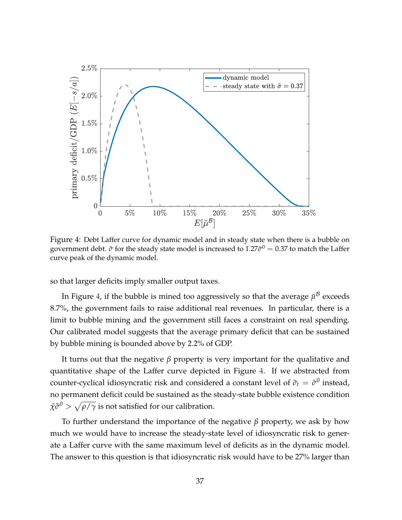<span id="page-36-0"></span>

Figure 4: Debt Laffer curve for dynamic model and in steady state when there is a bubble on government debt.  $\tilde{\sigma}$  for the steady state model is increased to  $1.27 \tilde{\sigma}^0 = 0.37$  to match the Laffer curve peak of the dynamic model.

so that larger deficits imply smaller output taxes.

In Figure [4,](#page-36-0) if the bubble is mined too aggressively so that the average  $\breve{\mu}^{\mathcal{B}}$  exceeds 8.7%, the government fails to raise additional real revenues. In particular, there is a limit to bubble mining and the government still faces a constraint on real spending. Our calibrated model suggests that the average primary deficit that can be sustained by bubble mining is bounded above by 2.2% of GDP.

It turns out that the negative *β* property is very important for the qualitative and quantitative shape of the Laffer curve depicted in Figure [4.](#page-36-0) If we abstracted from counter-cyclical idiosyncratic risk and considered a constant level of  $\tilde{\sigma}_t = \tilde{\sigma}^0$  instead, no permanent deficit could be sustained as the steady-state bubble existence condition  $\bar{\chi}\tilde{\sigma}^0>\sqrt{\rho/\gamma}$  is not satisfied for our calibration.

To further understand the importance of the negative *β* property, we ask by how much we would have to increase the steady-state level of idiosyncratic risk to generate a Laffer curve with the same maximum level of deficits as in the dynamic model. The answer to this question is that idiosyncratic risk would have to be 27% larger than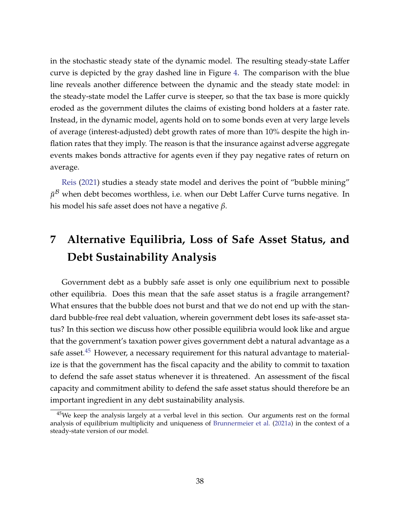in the stochastic steady state of the dynamic model. The resulting steady-state Laffer curve is depicted by the gray dashed line in Figure [4.](#page-36-0) The comparison with the blue line reveals another difference between the dynamic and the steady state model: in the steady-state model the Laffer curve is steeper, so that the tax base is more quickly eroded as the government dilutes the claims of existing bond holders at a faster rate. Instead, in the dynamic model, agents hold on to some bonds even at very large levels of average (interest-adjusted) debt growth rates of more than 10% despite the high inflation rates that they imply. The reason is that the insurance against adverse aggregate events makes bonds attractive for agents even if they pay negative rates of return on average.

[Reis](#page-46-3) [\(2021\)](#page-46-3) studies a steady state model and derives the point of "bubble mining"  $\breve{\mu}^{\mathcal{B}}$  when debt becomes worthless, i.e. when our Debt Laffer Curve turns negative. In his model his safe asset does not have a negative *β*.

# <span id="page-37-0"></span>**7 Alternative Equilibria, Loss of Safe Asset Status, and Debt Sustainability Analysis**

Government debt as a bubbly safe asset is only one equilibrium next to possible other equilibria. Does this mean that the safe asset status is a fragile arrangement? What ensures that the bubble does not burst and that we do not end up with the standard bubble-free real debt valuation, wherein government debt loses its safe-asset status? In this section we discuss how other possible equilibria would look like and argue that the government's taxation power gives government debt a natural advantage as a safe asset.<sup>[45](#page-0-0)</sup> However, a necessary requirement for this natural advantage to materialize is that the government has the fiscal capacity and the ability to commit to taxation to defend the safe asset status whenever it is threatened. An assessment of the fiscal capacity and commitment ability to defend the safe asset status should therefore be an important ingredient in any debt sustainability analysis.

<sup>&</sup>lt;sup>45</sup>We keep the analysis largely at a verbal level in this section. Our arguments rest on the formal analysis of equilibrium multiplicity and uniqueness of [Brunnermeier et al.](#page-44-8) [\(2021a\)](#page-44-8) in the context of a steady-state version of our model.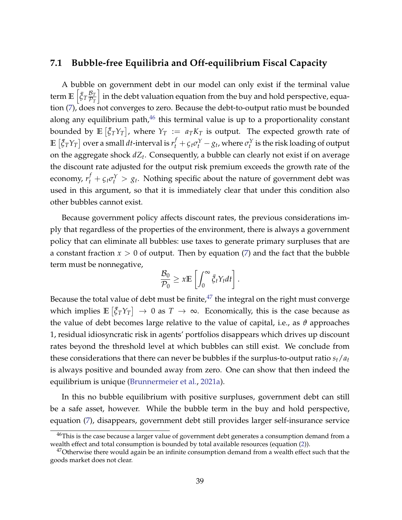#### **7.1 Bubble-free Equilibria and Off-equilibrium Fiscal Capacity**

A bubble on government debt in our model can only exist if the terminal value term  $\mathbb{E}\left[ \bar{\xi}_T \frac{\mathcal{B}_T}{\mathcal{P}_T} \right]$  $\overline{\mathcal{P}_T}$ i in the debt valuation equation from the buy and hold perspective, equation [\(7\)](#page-14-0), does not converges to zero. Because the debt-to-output ratio must be bounded along any equilibrium path, $46$  this terminal value is up to a proportionality constant bounded by  $\mathbb{E}\left[\bar{\xi}_T Y_T\right]$ , where  $Y_T\,:=\,a_T K_T$  is output. The expected growth rate of  $\mathbb{E}\left[\bar{\xi}_T Y_T\right]$  over a small  $dt$ -interval is  $r^f_t+\varsigma_t\sigma^Y_t-g_t$ , where  $\sigma^Y_t$  is the risk loading of output on the aggregate shock *dZ<sup>t</sup>* . Consequently, a bubble can clearly not exist if on average the discount rate adjusted for the output risk premium exceeds the growth rate of the economy,  $r_t^f + \varsigma_t \sigma_t^\text{Y} > g_t$ . Nothing specific about the nature of government debt was used in this argument, so that it is immediately clear that under this condition also other bubbles cannot exist.

Because government policy affects discount rates, the previous considerations imply that regardless of the properties of the environment, there is always a government policy that can eliminate all bubbles: use taxes to generate primary surpluses that are a constant fraction  $x > 0$  of output. Then by equation [\(7\)](#page-14-0) and the fact that the bubble term must be nonnegative,

$$
\frac{\mathcal{B}_0}{\mathcal{P}_0} \geq x \mathbb{E} \left[ \int_0^\infty \bar{\xi}_t Y_t dt \right].
$$

Because the total value of debt must be finite, $47$  the integral on the right must converge which implies  $\mathbb{E}\left[\bar{\xi}_T Y_T\right] \to 0$  as  $T \to \infty$ . Economically, this is the case because as the value of debt becomes large relative to the value of capital, i.e., as *ϑ* approaches 1, residual idiosyncratic risk in agents' portfolios disappears which drives up discount rates beyond the threshold level at which bubbles can still exist. We conclude from these considerations that there can never be bubbles if the surplus-to-output ratio  $s_t/a_t$ is always positive and bounded away from zero. One can show that then indeed the equilibrium is unique [\(Brunnermeier et al.,](#page-44-8) [2021a\)](#page-44-8).

In this no bubble equilibrium with positive surpluses, government debt can still be a safe asset, however. While the bubble term in the buy and hold perspective, equation [\(7\)](#page-14-0), disappears, government debt still provides larger self-insurance service

<sup>&</sup>lt;sup>46</sup>This is the case because a larger value of government debt generates a consumption demand from a wealth effect and total consumption is bounded by total available resources (equation [\(2\)](#page-7-1)).

 $47$ Otherwise there would again be an infinite consumption demand from a wealth effect such that the goods market does not clear.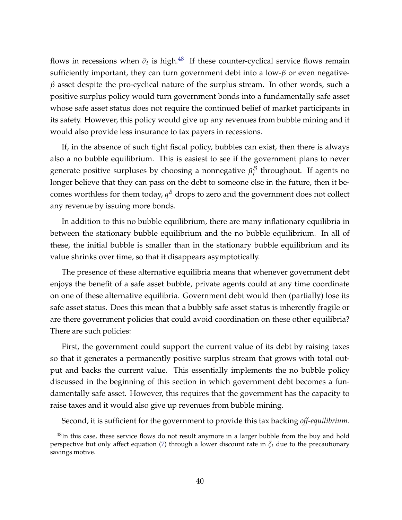flows in recessions when  $\tilde{\sigma}_t$  is high.<sup>[48](#page-0-0)</sup> If these counter-cyclical service flows remain sufficiently important, they can turn government debt into a low-*β* or even negative*β* asset despite the pro-cyclical nature of the surplus stream. In other words, such a positive surplus policy would turn government bonds into a fundamentally safe asset whose safe asset status does not require the continued belief of market participants in its safety. However, this policy would give up any revenues from bubble mining and it would also provide less insurance to tax payers in recessions.

If, in the absence of such tight fiscal policy, bubbles can exist, then there is always also a no bubble equilibrium. This is easiest to see if the government plans to never generate positive surpluses by choosing a nonnegative  $\breve{\mu}^{\mathcal{B}}_t$  $t$ <sup>*b*</sup> throughout. If agents no longer believe that they can pass on the debt to someone else in the future, then it becomes worthless for them today,  $q^B$  drops to zero and the government does not collect any revenue by issuing more bonds.

In addition to this no bubble equilibrium, there are many inflationary equilibria in between the stationary bubble equilibrium and the no bubble equilibrium. In all of these, the initial bubble is smaller than in the stationary bubble equilibrium and its value shrinks over time, so that it disappears asymptotically.

The presence of these alternative equilibria means that whenever government debt enjoys the benefit of a safe asset bubble, private agents could at any time coordinate on one of these alternative equilibria. Government debt would then (partially) lose its safe asset status. Does this mean that a bubbly safe asset status is inherently fragile or are there government policies that could avoid coordination on these other equilibria? There are such policies:

First, the government could support the current value of its debt by raising taxes so that it generates a permanently positive surplus stream that grows with total output and backs the current value. This essentially implements the no bubble policy discussed in the beginning of this section in which government debt becomes a fundamentally safe asset. However, this requires that the government has the capacity to raise taxes and it would also give up revenues from bubble mining.

Second, it is sufficient for the government to provide this tax backing *off-equilibrium*.

<sup>&</sup>lt;sup>48</sup>In this case, these service flows do not result anymore in a larger bubble from the buy and hold perspective but only affect equation [\(7\)](#page-14-0) through a lower discount rate in  $\bar{\zeta}_t$  due to the precautionary savings motive.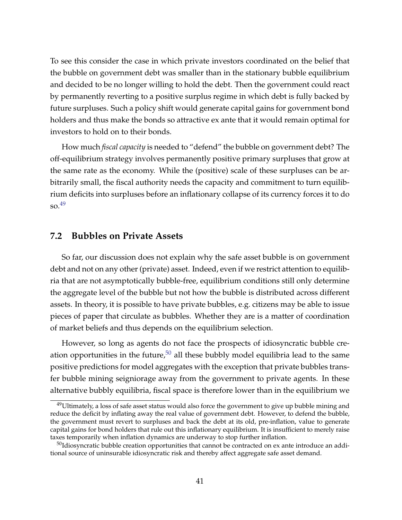To see this consider the case in which private investors coordinated on the belief that the bubble on government debt was smaller than in the stationary bubble equilibrium and decided to be no longer willing to hold the debt. Then the government could react by permanently reverting to a positive surplus regime in which debt is fully backed by future surpluses. Such a policy shift would generate capital gains for government bond holders and thus make the bonds so attractive ex ante that it would remain optimal for investors to hold on to their bonds.

How much *fiscal capacity* is needed to "defend" the bubble on government debt? The off-equilibrium strategy involves permanently positive primary surpluses that grow at the same rate as the economy. While the (positive) scale of these surpluses can be arbitrarily small, the fiscal authority needs the capacity and commitment to turn equilibrium deficits into surpluses before an inflationary collapse of its currency forces it to do  $\mathrm{so.}^{49}$  $\mathrm{so.}^{49}$  $\mathrm{so.}^{49}$ 

#### **7.2 Bubbles on Private Assets**

So far, our discussion does not explain why the safe asset bubble is on government debt and not on any other (private) asset. Indeed, even if we restrict attention to equilibria that are not asymptotically bubble-free, equilibrium conditions still only determine the aggregate level of the bubble but not how the bubble is distributed across different assets. In theory, it is possible to have private bubbles, e.g. citizens may be able to issue pieces of paper that circulate as bubbles. Whether they are is a matter of coordination of market beliefs and thus depends on the equilibrium selection.

However, so long as agents do not face the prospects of idiosyncratic bubble creation opportunities in the future,  $50$  all these bubbly model equilibria lead to the same positive predictions for model aggregates with the exception that private bubbles transfer bubble mining seigniorage away from the government to private agents. In these alternative bubbly equilibria, fiscal space is therefore lower than in the equilibrium we

 $49$ Ultimately, a loss of safe asset status would also force the government to give up bubble mining and reduce the deficit by inflating away the real value of government debt. However, to defend the bubble, the government must revert to surpluses and back the debt at its old, pre-inflation, value to generate capital gains for bond holders that rule out this inflationary equilibrium. It is insufficient to merely raise taxes temporarily when inflation dynamics are underway to stop further inflation.

 $50$ Idiosyncratic bubble creation opportunities that cannot be contracted on ex ante introduce an additional source of uninsurable idiosyncratic risk and thereby affect aggregate safe asset demand.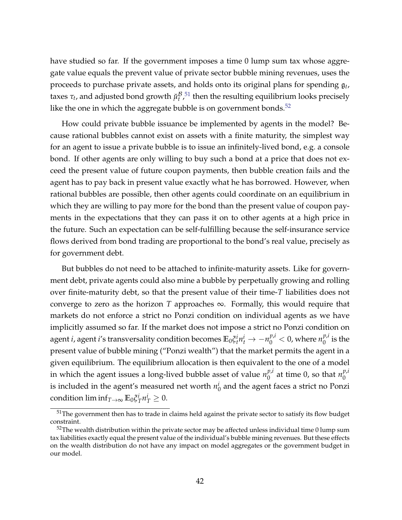have studied so far. If the government imposes a time 0 lump sum tax whose aggregate value equals the prevent value of private sector bubble mining revenues, uses the proceeds to purchase private assets, and holds onto its original plans for spending g*<sup>t</sup>* , taxes  $\tau_t$ , and adjusted bond growth  $\breve{\mu}_t^{\mathcal{B}}$  $\frac{B}{t}$ ,<sup>[51](#page-0-0)</sup> then the resulting equilibrium looks precisely like the one in which the aggregate bubble is on government bonds. $52$ 

How could private bubble issuance be implemented by agents in the model? Because rational bubbles cannot exist on assets with a finite maturity, the simplest way for an agent to issue a private bubble is to issue an infinitely-lived bond, e.g. a console bond. If other agents are only willing to buy such a bond at a price that does not exceed the present value of future coupon payments, then bubble creation fails and the agent has to pay back in present value exactly what he has borrowed. However, when rational bubbles are possible, then other agents could coordinate on an equilibrium in which they are willing to pay more for the bond than the present value of coupon payments in the expectations that they can pass it on to other agents at a high price in the future. Such an expectation can be self-fulfilling because the self-insurance service flows derived from bond trading are proportional to the bond's real value, precisely as for government debt.

But bubbles do not need to be attached to infinite-maturity assets. Like for government debt, private agents could also mine a bubble by perpetually growing and rolling over finite-maturity debt, so that the present value of their time-*T* liabilities does not converge to zero as the horizon *T* approaches  $\infty$ . Formally, this would require that markets do not enforce a strict no Ponzi condition on individual agents as we have implicitly assumed so far. If the market does not impose a strict no Ponzi condition on agent *i*, agent *i'*s transversality condition becomes  $\mathbb{E}_0 \xi_t^i n_t^i \to -n_0^{p,i} < 0$ , where  $n_0^{p,i}$  $\int_0^{P\prime}$  is the present value of bubble mining ("Ponzi wealth") that the market permits the agent in a given equilibrium. The equilibrium allocation is then equivalent to the one of a model in which the agent issues a long-lived bubble asset of value  $n_0^{p,i}$  $n_0^{p,i}$  at time 0, so that  $n_0^{p,i}$  $\boldsymbol{0}$ is included in the agent's measured net worth  $n_\mathfrak{l}^i$  $\frac{1}{0}$  and the agent faces a strict no Ponzi  $\operatorname{condition}\lim\inf_{T\to\infty}\mathbb{E}_0\tilde{\zeta}^i_T$  $i_T^i n_T^i \geq 0.$ 

<sup>&</sup>lt;sup>51</sup>The government then has to trade in claims held against the private sector to satisfy its flow budget constraint.

 $52$ The wealth distribution within the private sector may be affected unless individual time 0 lump sum tax liabilities exactly equal the present value of the individual's bubble mining revenues. But these effects on the wealth distribution do not have any impact on model aggregates or the government budget in our model.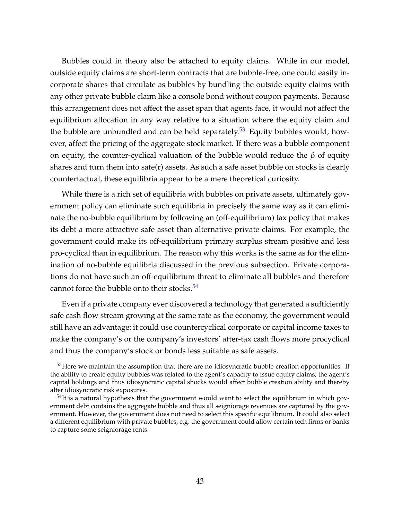Bubbles could in theory also be attached to equity claims. While in our model, outside equity claims are short-term contracts that are bubble-free, one could easily incorporate shares that circulate as bubbles by bundling the outside equity claims with any other private bubble claim like a console bond without coupon payments. Because this arrangement does not affect the asset span that agents face, it would not affect the equilibrium allocation in any way relative to a situation where the equity claim and the bubble are unbundled and can be held separately.<sup>[53](#page-0-0)</sup> Equity bubbles would, however, affect the pricing of the aggregate stock market. If there was a bubble component on equity, the counter-cyclical valuation of the bubble would reduce the *β* of equity shares and turn them into safe $(r)$  assets. As such a safe asset bubble on stocks is clearly counterfactual, these equilibria appear to be a mere theoretical curiosity.

While there is a rich set of equilibria with bubbles on private assets, ultimately government policy can eliminate such equilibria in precisely the same way as it can eliminate the no-bubble equilibrium by following an (off-equilibrium) tax policy that makes its debt a more attractive safe asset than alternative private claims. For example, the government could make its off-equilibrium primary surplus stream positive and less pro-cyclical than in equilibrium. The reason why this works is the same as for the elimination of no-bubble equilibria discussed in the previous subsection. Private corporations do not have such an off-equilibrium threat to eliminate all bubbles and therefore cannot force the bubble onto their stocks. $54$ 

Even if a private company ever discovered a technology that generated a sufficiently safe cash flow stream growing at the same rate as the economy, the government would still have an advantage: it could use countercyclical corporate or capital income taxes to make the company's or the company's investors' after-tax cash flows more procyclical and thus the company's stock or bonds less suitable as safe assets.

 $53$  Here we maintain the assumption that there are no idiosyncratic bubble creation opportunities. If the ability to create equity bubbles was related to the agent's capacity to issue equity claims, the agent's capital holdings and thus idiosyncratic capital shocks would affect bubble creation ability and thereby alter idiosyncratic risk exposures.

<sup>&</sup>lt;sup>54</sup>It is a natural hypothesis that the government would want to select the equilibrium in which government debt contains the aggregate bubble and thus all seigniorage revenues are captured by the government. However, the government does not need to select this specific equilibrium. It could also select a different equilibrium with private bubbles, e.g. the government could allow certain tech firms or banks to capture some seigniorage rents.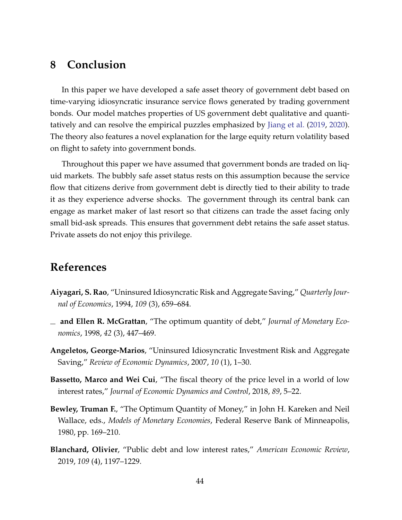## **8 Conclusion**

In this paper we have developed a safe asset theory of government debt based on time-varying idiosyncratic insurance service flows generated by trading government bonds. Our model matches properties of US government debt qualitative and quantitatively and can resolve the empirical puzzles emphasized by [Jiang et al.](#page-45-0) [\(2019,](#page-45-0) [2020\)](#page-45-6). The theory also features a novel explanation for the large equity return volatility based on flight to safety into government bonds.

Throughout this paper we have assumed that government bonds are traded on liquid markets. The bubbly safe asset status rests on this assumption because the service flow that citizens derive from government debt is directly tied to their ability to trade it as they experience adverse shocks. The government through its central bank can engage as market maker of last resort so that citizens can trade the asset facing only small bid-ask spreads. This ensures that government debt retains the safe asset status. Private assets do not enjoy this privilege.

## **References**

- <span id="page-43-3"></span>**Aiyagari, S. Rao**, "Uninsured Idiosyncratic Risk and Aggregate Saving," *Quarterly Journal of Economics*, 1994, *109* (3), 659–684.
- <span id="page-43-2"></span>**and Ellen R. McGrattan**, "The optimum quantity of debt," *Journal of Monetary Economics*, 1998, *42* (3), 447–469.
- <span id="page-43-4"></span>**Angeletos, George-Marios**, "Uninsured Idiosyncratic Investment Risk and Aggregate Saving," *Review of Economic Dynamics*, 2007, *10* (1), 1–30.
- <span id="page-43-5"></span>**Bassetto, Marco and Wei Cui**, "The fiscal theory of the price level in a world of low interest rates," *Journal of Economic Dynamics and Control*, 2018, *89*, 5–22.
- <span id="page-43-1"></span>**Bewley, Truman F.**, "The Optimum Quantity of Money," in John H. Kareken and Neil Wallace, eds., *Models of Monetary Economies*, Federal Reserve Bank of Minneapolis, 1980, pp. 169–210.
- <span id="page-43-0"></span>**Blanchard, Olivier**, "Public debt and low interest rates," *American Economic Review*, 2019, *109* (4), 1197–1229.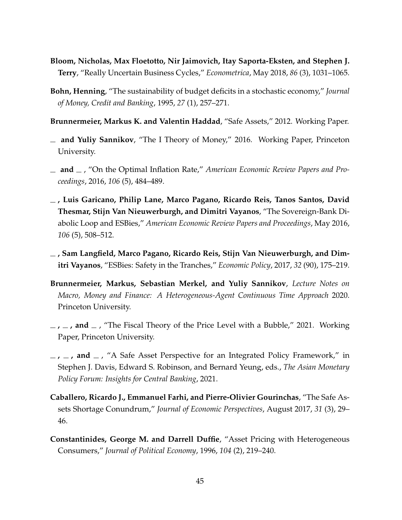- <span id="page-44-11"></span>**Bloom, Nicholas, Max Floetotto, Nir Jaimovich, Itay Saporta-Eksten, and Stephen J. Terry**, "Really Uncertain Business Cycles," *Econometrica*, May 2018, *86* (3), 1031–1065.
- <span id="page-44-5"></span>**Bohn, Henning**, "The sustainability of budget deficits in a stochastic economy," *Journal of Money, Credit and Banking*, 1995, *27* (1), 257–271.
- <span id="page-44-0"></span>**Brunnermeier, Markus K. and Valentin Haddad**, "Safe Assets," 2012. Working Paper.
- <span id="page-44-6"></span>**and Yuliy Sannikov**, "The I Theory of Money," 2016. Working Paper, Princeton University.
- <span id="page-44-7"></span> $\Box$  **and**  $\Box$ , "On the Optimal Inflation Rate," *American Economic Review Papers and Proceedings*, 2016, *106* (5), 484–489.
- <span id="page-44-3"></span>**, Luis Garicano, Philip Lane, Marco Pagano, Ricardo Reis, Tanos Santos, David Thesmar, Stijn Van Nieuwerburgh, and Dimitri Vayanos**, "The Sovereign-Bank Diabolic Loop and ESBies," *American Economic Review Papers and Proceedings*, May 2016, *106* (5), 508–512.
- <span id="page-44-2"></span>**, Sam Langfield, Marco Pagano, Ricardo Reis, Stijn Van Nieuwerburgh, and Dimitri Vayanos**, "ESBies: Safety in the Tranches," *Economic Policy*, 2017, *32* (90), 175–219.
- <span id="page-44-10"></span>**Brunnermeier, Markus, Sebastian Merkel, and Yuliy Sannikov**, *Lecture Notes on Macro, Money and Finance: A Heterogeneous-Agent Continuous Time Approach* 2020. Princeton University.
- <span id="page-44-8"></span> $\mu$ ,  $\mu$ , and  $\mu$ , "The Fiscal Theory of the Price Level with a Bubble," 2021. Working Paper, Princeton University.
- <span id="page-44-4"></span> $\mu$ ,  $\mu$ , and  $\mu$ , "A Safe Asset Perspective for an Integrated Policy Framework," in Stephen J. Davis, Edward S. Robinson, and Bernard Yeung, eds., *The Asian Monetary Policy Forum: Insights for Central Banking*, 2021.
- <span id="page-44-1"></span>**Caballero, Ricardo J., Emmanuel Farhi, and Pierre-Olivier Gourinchas**, "The Safe Assets Shortage Conundrum," *Journal of Economic Perspectives*, August 2017, *31* (3), 29– 46.
- <span id="page-44-9"></span>**Constantinides, George M. and Darrell Duffie**, "Asset Pricing with Heterogeneous Consumers," *Journal of Political Economy*, 1996, *104* (2), 219–240.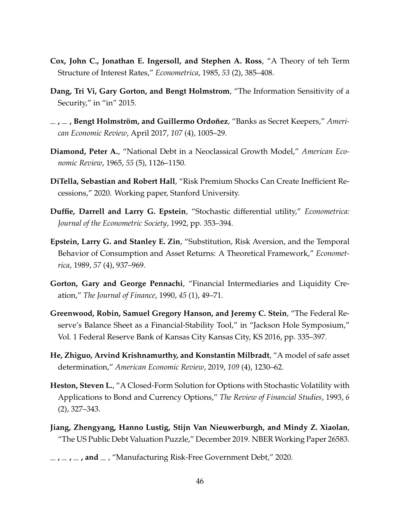- <span id="page-45-11"></span>**Cox, John C., Jonathan E. Ingersoll, and Stephen A. Ross**, "A Theory of teh Term Structure of Interest Rates," *Econometrica*, 1985, *53* (2), 385–408.
- <span id="page-45-1"></span>**Dang, Tri Vi, Gary Gorton, and Bengt Holmstrom**, "The Information Sensitivity of a Security," in "in" 2015.
- <span id="page-45-3"></span>**, , Bengt Holmström, and Guillermo Ordoñez**, "Banks as Secret Keepers," *American Economic Review*, April 2017, *107* (4), 1005–29.
- <span id="page-45-7"></span>**Diamond, Peter A.**, "National Debt in a Neoclassical Growth Model," *American Economic Review*, 1965, *55* (5), 1126–1150.
- <span id="page-45-12"></span>**DiTella, Sebastian and Robert Hall**, "Risk Premium Shocks Can Create Inefficient Recessions," 2020. Working paper, Stanford University.
- <span id="page-45-8"></span>**Duffie, Darrell and Larry G. Epstein**, "Stochastic differential utility," *Econometrica: Journal of the Econometric Society*, 1992, pp. 353–394.
- <span id="page-45-9"></span>**Epstein, Larry G. and Stanley E. Zin**, "Substitution, Risk Aversion, and the Temporal Behavior of Consumption and Asset Returns: A Theoretical Framework," *Econometrica*, 1989, *57* (4), 937–969.
- <span id="page-45-2"></span>**Gorton, Gary and George Pennachi**, "Financial Intermediaries and Liquidity Creation," *The Journal of Finance*, 1990, *45* (1), 49–71.
- <span id="page-45-4"></span>**Greenwood, Robin, Samuel Gregory Hanson, and Jeremy C. Stein**, "The Federal Reserve's Balance Sheet as a Financial-Stability Tool," in "Jackson Hole Symposium," Vol. 1 Federal Reserve Bank of Kansas City Kansas City, KS 2016, pp. 335–397.
- <span id="page-45-5"></span>**He, Zhiguo, Arvind Krishnamurthy, and Konstantin Milbradt**, "A model of safe asset determination," *American Economic Review*, 2019, *109* (4), 1230–62.
- <span id="page-45-10"></span>**Heston, Steven L.**, "A Closed-Form Solution for Options with Stochastic Volatility with Applications to Bond and Currency Options," *The Review of Financial Studies*, 1993, *6* (2), 327–343.
- <span id="page-45-0"></span>**Jiang, Zhengyang, Hanno Lustig, Stijn Van Nieuwerburgh, and Mindy Z. Xiaolan**, "The US Public Debt Valuation Puzzle," December 2019. NBER Working Paper 26583.
- <span id="page-45-6"></span> $\mathbf{I}$ ,  $\mathbf{I}$ ,  $\mathbf{I}$ , **and**  $\mathbf{I}$ , "Manufacturing Risk-Free Government Debt," 2020.